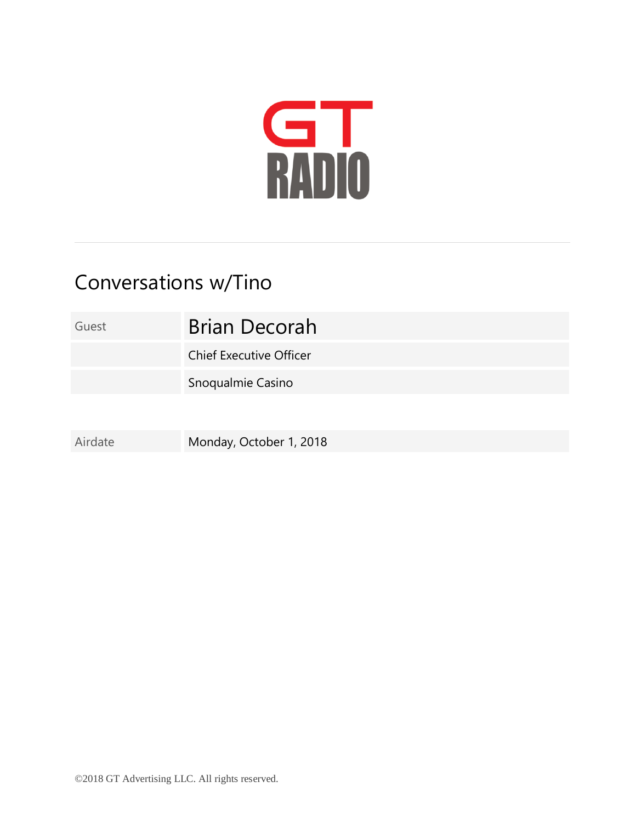

## Conversations w/Tino

Guest **Brian Decorah** Chief Executive Officer Snoqualmie Casino Airdate Monday, October 1, 2018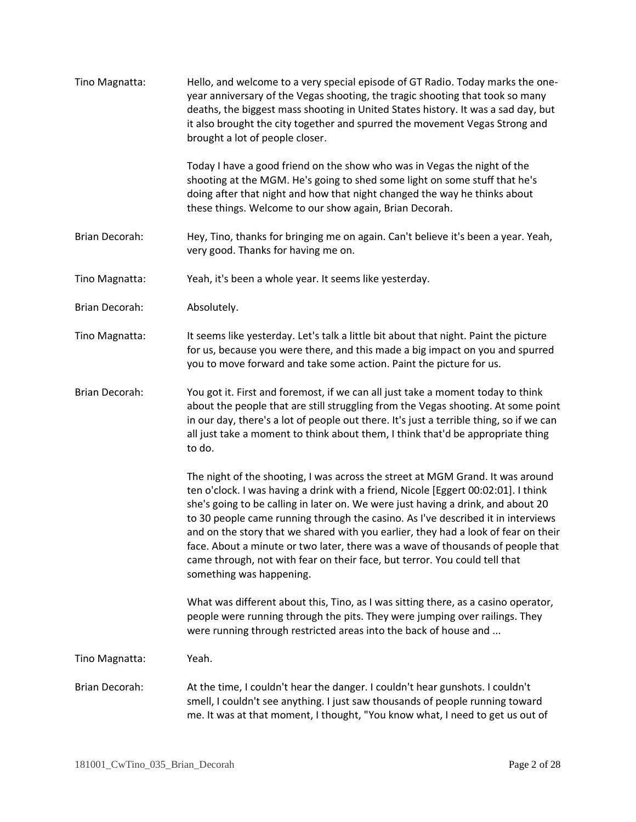| Tino Magnatta:        | Hello, and welcome to a very special episode of GT Radio. Today marks the one-<br>year anniversary of the Vegas shooting, the tragic shooting that took so many<br>deaths, the biggest mass shooting in United States history. It was a sad day, but<br>it also brought the city together and spurred the movement Vegas Strong and<br>brought a lot of people closer.                                                                                                                                                                                                                                                          |
|-----------------------|---------------------------------------------------------------------------------------------------------------------------------------------------------------------------------------------------------------------------------------------------------------------------------------------------------------------------------------------------------------------------------------------------------------------------------------------------------------------------------------------------------------------------------------------------------------------------------------------------------------------------------|
|                       | Today I have a good friend on the show who was in Vegas the night of the<br>shooting at the MGM. He's going to shed some light on some stuff that he's<br>doing after that night and how that night changed the way he thinks about<br>these things. Welcome to our show again, Brian Decorah.                                                                                                                                                                                                                                                                                                                                  |
| Brian Decorah:        | Hey, Tino, thanks for bringing me on again. Can't believe it's been a year. Yeah,<br>very good. Thanks for having me on.                                                                                                                                                                                                                                                                                                                                                                                                                                                                                                        |
| Tino Magnatta:        | Yeah, it's been a whole year. It seems like yesterday.                                                                                                                                                                                                                                                                                                                                                                                                                                                                                                                                                                          |
| Brian Decorah:        | Absolutely.                                                                                                                                                                                                                                                                                                                                                                                                                                                                                                                                                                                                                     |
| Tino Magnatta:        | It seems like yesterday. Let's talk a little bit about that night. Paint the picture<br>for us, because you were there, and this made a big impact on you and spurred<br>you to move forward and take some action. Paint the picture for us.                                                                                                                                                                                                                                                                                                                                                                                    |
| Brian Decorah:        | You got it. First and foremost, if we can all just take a moment today to think<br>about the people that are still struggling from the Vegas shooting. At some point<br>in our day, there's a lot of people out there. It's just a terrible thing, so if we can<br>all just take a moment to think about them, I think that'd be appropriate thing<br>to do.                                                                                                                                                                                                                                                                    |
|                       | The night of the shooting, I was across the street at MGM Grand. It was around<br>ten o'clock. I was having a drink with a friend, Nicole [Eggert 00:02:01]. I think<br>she's going to be calling in later on. We were just having a drink, and about 20<br>to 30 people came running through the casino. As I've described it in interviews<br>and on the story that we shared with you earlier, they had a look of fear on their<br>face. About a minute or two later, there was a wave of thousands of people that<br>came through, not with fear on their face, but terror. You could tell that<br>something was happening. |
|                       | What was different about this, Tino, as I was sitting there, as a casino operator,<br>people were running through the pits. They were jumping over railings. They<br>were running through restricted areas into the back of house and                                                                                                                                                                                                                                                                                                                                                                                           |
| Tino Magnatta:        | Yeah.                                                                                                                                                                                                                                                                                                                                                                                                                                                                                                                                                                                                                           |
| <b>Brian Decorah:</b> | At the time, I couldn't hear the danger. I couldn't hear gunshots. I couldn't<br>smell, I couldn't see anything. I just saw thousands of people running toward<br>me. It was at that moment, I thought, "You know what, I need to get us out of                                                                                                                                                                                                                                                                                                                                                                                 |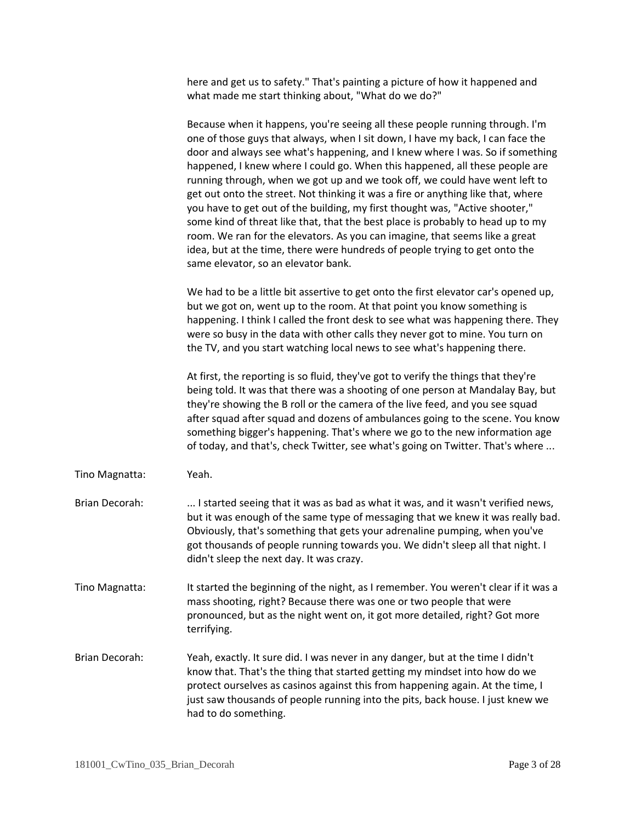here and get us to safety." That's painting a picture of how it happened and what made me start thinking about, "What do we do?"

Because when it happens, you're seeing all these people running through. I'm one of those guys that always, when I sit down, I have my back, I can face the door and always see what's happening, and I knew where I was. So if something happened, I knew where I could go. When this happened, all these people are running through, when we got up and we took off, we could have went left to get out onto the street. Not thinking it was a fire or anything like that, where you have to get out of the building, my first thought was, "Active shooter," some kind of threat like that, that the best place is probably to head up to my room. We ran for the elevators. As you can imagine, that seems like a great idea, but at the time, there were hundreds of people trying to get onto the same elevator, so an elevator bank.

We had to be a little bit assertive to get onto the first elevator car's opened up, but we got on, went up to the room. At that point you know something is happening. I think I called the front desk to see what was happening there. They were so busy in the data with other calls they never got to mine. You turn on the TV, and you start watching local news to see what's happening there.

At first, the reporting is so fluid, they've got to verify the things that they're being told. It was that there was a shooting of one person at Mandalay Bay, but they're showing the B roll or the camera of the live feed, and you see squad after squad after squad and dozens of ambulances going to the scene. You know something bigger's happening. That's where we go to the new information age of today, and that's, check Twitter, see what's going on Twitter. That's where ...

- Tino Magnatta: Yeah.
- Brian Decorah: ... I started seeing that it was as bad as what it was, and it wasn't verified news, but it was enough of the same type of messaging that we knew it was really bad. Obviously, that's something that gets your adrenaline pumping, when you've got thousands of people running towards you. We didn't sleep all that night. I didn't sleep the next day. It was crazy.
- Tino Magnatta: It started the beginning of the night, as I remember. You weren't clear if it was a mass shooting, right? Because there was one or two people that were pronounced, but as the night went on, it got more detailed, right? Got more terrifying.
- Brian Decorah: Yeah, exactly. It sure did. I was never in any danger, but at the time I didn't know that. That's the thing that started getting my mindset into how do we protect ourselves as casinos against this from happening again. At the time, I just saw thousands of people running into the pits, back house. I just knew we had to do something.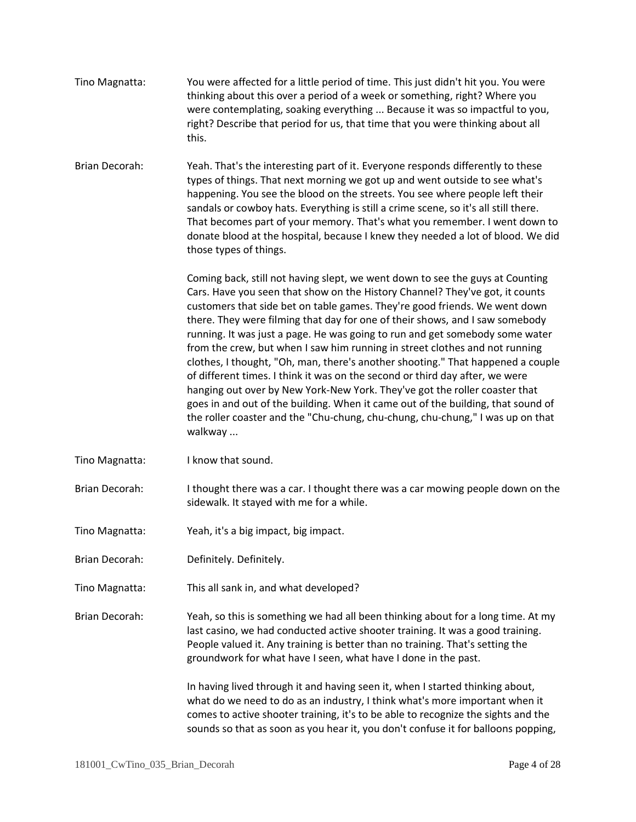- Tino Magnatta: You were affected for a little period of time. This just didn't hit you. You were thinking about this over a period of a week or something, right? Where you were contemplating, soaking everything ... Because it was so impactful to you, right? Describe that period for us, that time that you were thinking about all this.
- Brian Decorah: Yeah. That's the interesting part of it. Everyone responds differently to these types of things. That next morning we got up and went outside to see what's happening. You see the blood on the streets. You see where people left their sandals or cowboy hats. Everything is still a crime scene, so it's all still there. That becomes part of your memory. That's what you remember. I went down to donate blood at the hospital, because I knew they needed a lot of blood. We did those types of things.

Coming back, still not having slept, we went down to see the guys at Counting Cars. Have you seen that show on the History Channel? They've got, it counts customers that side bet on table games. They're good friends. We went down there. They were filming that day for one of their shows, and I saw somebody running. It was just a page. He was going to run and get somebody some water from the crew, but when I saw him running in street clothes and not running clothes, I thought, "Oh, man, there's another shooting." That happened a couple of different times. I think it was on the second or third day after, we were hanging out over by New York-New York. They've got the roller coaster that goes in and out of the building. When it came out of the building, that sound of the roller coaster and the "Chu-chung, chu-chung, chu-chung," I was up on that walkway ...

- Tino Magnatta: I know that sound.
- Brian Decorah: I thought there was a car. I thought there was a car mowing people down on the sidewalk. It stayed with me for a while.
- Tino Magnatta: Yeah, it's a big impact, big impact.
- Brian Decorah: Definitely. Definitely.
- Tino Magnatta: This all sank in, and what developed?

Brian Decorah: Yeah, so this is something we had all been thinking about for a long time. At my last casino, we had conducted active shooter training. It was a good training. People valued it. Any training is better than no training. That's setting the groundwork for what have I seen, what have I done in the past.

> In having lived through it and having seen it, when I started thinking about, what do we need to do as an industry, I think what's more important when it comes to active shooter training, it's to be able to recognize the sights and the sounds so that as soon as you hear it, you don't confuse it for balloons popping,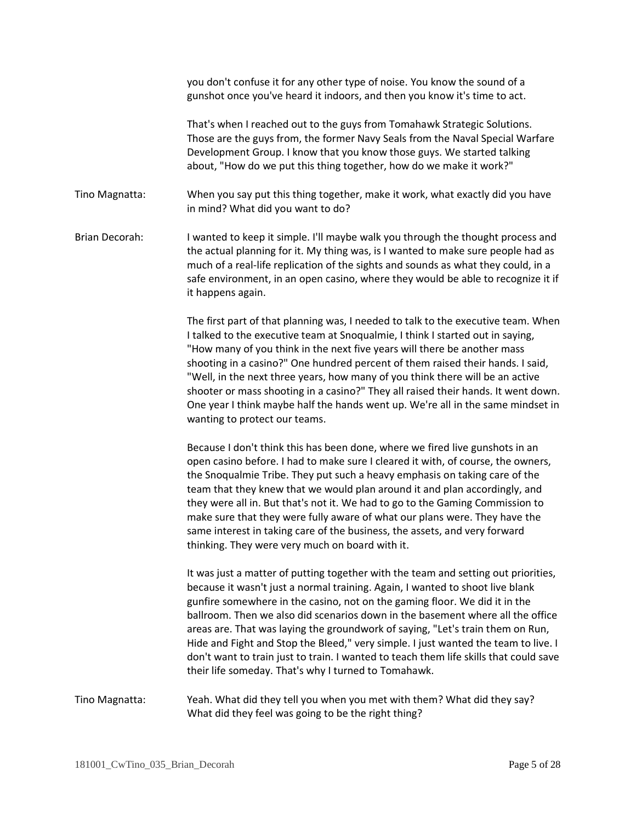you don't confuse it for any other type of noise. You know the sound of a gunshot once you've heard it indoors, and then you know it's time to act.

That's when I reached out to the guys from Tomahawk Strategic Solutions. Those are the guys from, the former Navy Seals from the Naval Special Warfare Development Group. I know that you know those guys. We started talking about, "How do we put this thing together, how do we make it work?"

Tino Magnatta: When you say put this thing together, make it work, what exactly did you have in mind? What did you want to do?

Brian Decorah: I wanted to keep it simple. I'll maybe walk you through the thought process and the actual planning for it. My thing was, is I wanted to make sure people had as much of a real-life replication of the sights and sounds as what they could, in a safe environment, in an open casino, where they would be able to recognize it if it happens again.

> The first part of that planning was, I needed to talk to the executive team. When I talked to the executive team at Snoqualmie, I think I started out in saying, "How many of you think in the next five years will there be another mass shooting in a casino?" One hundred percent of them raised their hands. I said, "Well, in the next three years, how many of you think there will be an active shooter or mass shooting in a casino?" They all raised their hands. It went down. One year I think maybe half the hands went up. We're all in the same mindset in wanting to protect our teams.

Because I don't think this has been done, where we fired live gunshots in an open casino before. I had to make sure I cleared it with, of course, the owners, the Snoqualmie Tribe. They put such a heavy emphasis on taking care of the team that they knew that we would plan around it and plan accordingly, and they were all in. But that's not it. We had to go to the Gaming Commission to make sure that they were fully aware of what our plans were. They have the same interest in taking care of the business, the assets, and very forward thinking. They were very much on board with it.

It was just a matter of putting together with the team and setting out priorities, because it wasn't just a normal training. Again, I wanted to shoot live blank gunfire somewhere in the casino, not on the gaming floor. We did it in the ballroom. Then we also did scenarios down in the basement where all the office areas are. That was laying the groundwork of saying, "Let's train them on Run, Hide and Fight and Stop the Bleed," very simple. I just wanted the team to live. I don't want to train just to train. I wanted to teach them life skills that could save their life someday. That's why I turned to Tomahawk.

Tino Magnatta: Yeah. What did they tell you when you met with them? What did they say? What did they feel was going to be the right thing?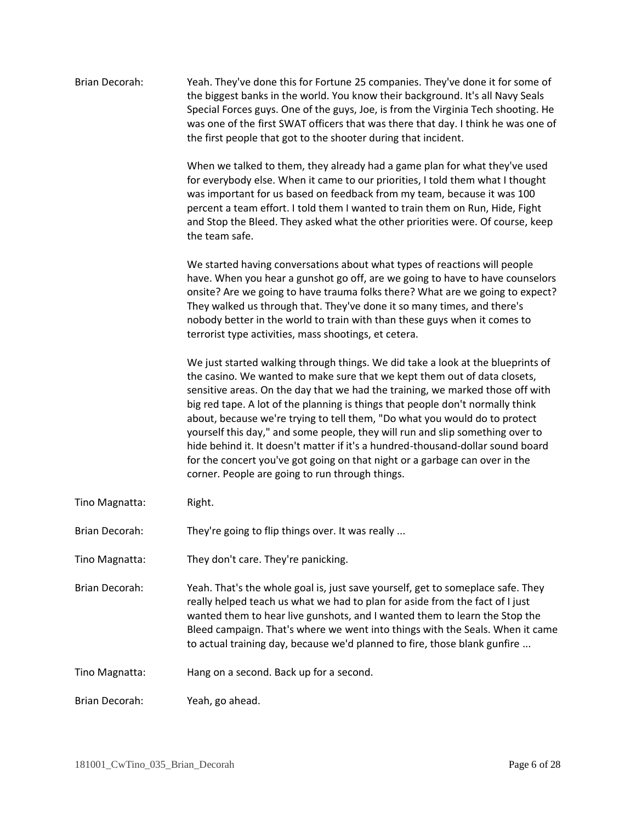| <b>Brian Decorah:</b> | Yeah. They've done this for Fortune 25 companies. They've done it for some of<br>the biggest banks in the world. You know their background. It's all Navy Seals<br>Special Forces guys. One of the guys, Joe, is from the Virginia Tech shooting. He<br>was one of the first SWAT officers that was there that day. I think he was one of<br>the first people that got to the shooter during that incident.                                                                                                                                                                                                                                                                                                          |
|-----------------------|----------------------------------------------------------------------------------------------------------------------------------------------------------------------------------------------------------------------------------------------------------------------------------------------------------------------------------------------------------------------------------------------------------------------------------------------------------------------------------------------------------------------------------------------------------------------------------------------------------------------------------------------------------------------------------------------------------------------|
|                       | When we talked to them, they already had a game plan for what they've used<br>for everybody else. When it came to our priorities, I told them what I thought<br>was important for us based on feedback from my team, because it was 100<br>percent a team effort. I told them I wanted to train them on Run, Hide, Fight<br>and Stop the Bleed. They asked what the other priorities were. Of course, keep<br>the team safe.                                                                                                                                                                                                                                                                                         |
|                       | We started having conversations about what types of reactions will people<br>have. When you hear a gunshot go off, are we going to have to have counselors<br>onsite? Are we going to have trauma folks there? What are we going to expect?<br>They walked us through that. They've done it so many times, and there's<br>nobody better in the world to train with than these guys when it comes to<br>terrorist type activities, mass shootings, et cetera.                                                                                                                                                                                                                                                         |
|                       | We just started walking through things. We did take a look at the blueprints of<br>the casino. We wanted to make sure that we kept them out of data closets,<br>sensitive areas. On the day that we had the training, we marked those off with<br>big red tape. A lot of the planning is things that people don't normally think<br>about, because we're trying to tell them, "Do what you would do to protect<br>yourself this day," and some people, they will run and slip something over to<br>hide behind it. It doesn't matter if it's a hundred-thousand-dollar sound board<br>for the concert you've got going on that night or a garbage can over in the<br>corner. People are going to run through things. |
| Tino Magnatta:        | Right.                                                                                                                                                                                                                                                                                                                                                                                                                                                                                                                                                                                                                                                                                                               |
| Brian Decorah:        | They're going to flip things over. It was really                                                                                                                                                                                                                                                                                                                                                                                                                                                                                                                                                                                                                                                                     |
| Tino Magnatta:        | They don't care. They're panicking.                                                                                                                                                                                                                                                                                                                                                                                                                                                                                                                                                                                                                                                                                  |
| Brian Decorah:        | Yeah. That's the whole goal is, just save yourself, get to someplace safe. They<br>really helped teach us what we had to plan for aside from the fact of I just<br>wanted them to hear live gunshots, and I wanted them to learn the Stop the<br>Bleed campaign. That's where we went into things with the Seals. When it came<br>to actual training day, because we'd planned to fire, those blank gunfire                                                                                                                                                                                                                                                                                                          |
| Tino Magnatta:        | Hang on a second. Back up for a second.                                                                                                                                                                                                                                                                                                                                                                                                                                                                                                                                                                                                                                                                              |
| Brian Decorah:        | Yeah, go ahead.                                                                                                                                                                                                                                                                                                                                                                                                                                                                                                                                                                                                                                                                                                      |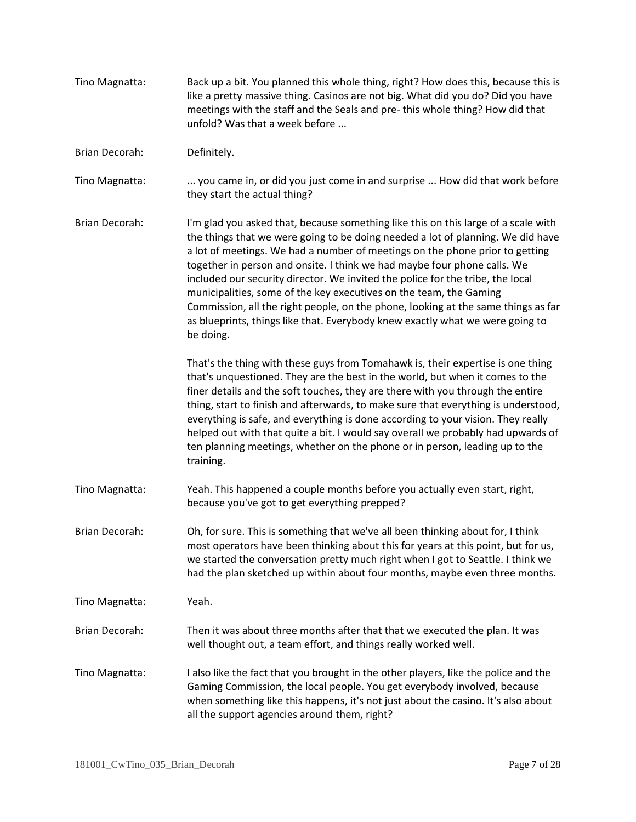| Tino Magnatta:        | Back up a bit. You planned this whole thing, right? How does this, because this is<br>like a pretty massive thing. Casinos are not big. What did you do? Did you have<br>meetings with the staff and the Seals and pre-this whole thing? How did that<br>unfold? Was that a week before                                                                                                                                                                                                                                                                                                                                                                                      |
|-----------------------|------------------------------------------------------------------------------------------------------------------------------------------------------------------------------------------------------------------------------------------------------------------------------------------------------------------------------------------------------------------------------------------------------------------------------------------------------------------------------------------------------------------------------------------------------------------------------------------------------------------------------------------------------------------------------|
| Brian Decorah:        | Definitely.                                                                                                                                                                                                                                                                                                                                                                                                                                                                                                                                                                                                                                                                  |
| Tino Magnatta:        | you came in, or did you just come in and surprise  How did that work before<br>they start the actual thing?                                                                                                                                                                                                                                                                                                                                                                                                                                                                                                                                                                  |
| Brian Decorah:        | I'm glad you asked that, because something like this on this large of a scale with<br>the things that we were going to be doing needed a lot of planning. We did have<br>a lot of meetings. We had a number of meetings on the phone prior to getting<br>together in person and onsite. I think we had maybe four phone calls. We<br>included our security director. We invited the police for the tribe, the local<br>municipalities, some of the key executives on the team, the Gaming<br>Commission, all the right people, on the phone, looking at the same things as far<br>as blueprints, things like that. Everybody knew exactly what we were going to<br>be doing. |
|                       | That's the thing with these guys from Tomahawk is, their expertise is one thing<br>that's unquestioned. They are the best in the world, but when it comes to the<br>finer details and the soft touches, they are there with you through the entire<br>thing, start to finish and afterwards, to make sure that everything is understood,<br>everything is safe, and everything is done according to your vision. They really<br>helped out with that quite a bit. I would say overall we probably had upwards of<br>ten planning meetings, whether on the phone or in person, leading up to the<br>training.                                                                 |
| Tino Magnatta:        | Yeah. This happened a couple months before you actually even start, right,<br>because you've got to get everything prepped?                                                                                                                                                                                                                                                                                                                                                                                                                                                                                                                                                  |
| Brian Decorah:        | Oh, for sure. This is something that we've all been thinking about for, I think<br>most operators have been thinking about this for years at this point, but for us,<br>we started the conversation pretty much right when I got to Seattle. I think we<br>had the plan sketched up within about four months, maybe even three months.                                                                                                                                                                                                                                                                                                                                       |
| Tino Magnatta:        | Yeah.                                                                                                                                                                                                                                                                                                                                                                                                                                                                                                                                                                                                                                                                        |
| <b>Brian Decorah:</b> | Then it was about three months after that that we executed the plan. It was<br>well thought out, a team effort, and things really worked well.                                                                                                                                                                                                                                                                                                                                                                                                                                                                                                                               |
| Tino Magnatta:        | I also like the fact that you brought in the other players, like the police and the<br>Gaming Commission, the local people. You get everybody involved, because<br>when something like this happens, it's not just about the casino. It's also about<br>all the support agencies around them, right?                                                                                                                                                                                                                                                                                                                                                                         |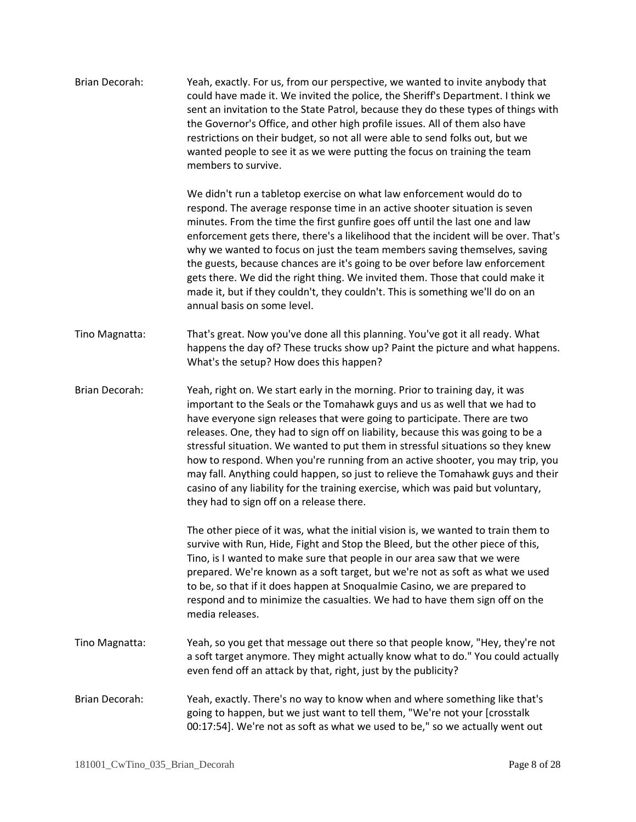| Brian Decorah:        | Yeah, exactly. For us, from our perspective, we wanted to invite anybody that<br>could have made it. We invited the police, the Sheriff's Department. I think we<br>sent an invitation to the State Patrol, because they do these types of things with<br>the Governor's Office, and other high profile issues. All of them also have<br>restrictions on their budget, so not all were able to send folks out, but we<br>wanted people to see it as we were putting the focus on training the team<br>members to survive.                                                                                                                                                                                         |
|-----------------------|-------------------------------------------------------------------------------------------------------------------------------------------------------------------------------------------------------------------------------------------------------------------------------------------------------------------------------------------------------------------------------------------------------------------------------------------------------------------------------------------------------------------------------------------------------------------------------------------------------------------------------------------------------------------------------------------------------------------|
|                       | We didn't run a tabletop exercise on what law enforcement would do to<br>respond. The average response time in an active shooter situation is seven<br>minutes. From the time the first gunfire goes off until the last one and law<br>enforcement gets there, there's a likelihood that the incident will be over. That's<br>why we wanted to focus on just the team members saving themselves, saving<br>the guests, because chances are it's going to be over before law enforcement<br>gets there. We did the right thing. We invited them. Those that could make it<br>made it, but if they couldn't, they couldn't. This is something we'll do on an<br>annual basis on some level.                         |
| Tino Magnatta:        | That's great. Now you've done all this planning. You've got it all ready. What<br>happens the day of? These trucks show up? Paint the picture and what happens.<br>What's the setup? How does this happen?                                                                                                                                                                                                                                                                                                                                                                                                                                                                                                        |
| <b>Brian Decorah:</b> | Yeah, right on. We start early in the morning. Prior to training day, it was<br>important to the Seals or the Tomahawk guys and us as well that we had to<br>have everyone sign releases that were going to participate. There are two<br>releases. One, they had to sign off on liability, because this was going to be a<br>stressful situation. We wanted to put them in stressful situations so they knew<br>how to respond. When you're running from an active shooter, you may trip, you<br>may fall. Anything could happen, so just to relieve the Tomahawk guys and their<br>casino of any liability for the training exercise, which was paid but voluntary,<br>they had to sign off on a release there. |
|                       | The other piece of it was, what the initial vision is, we wanted to train them to<br>survive with Run, Hide, Fight and Stop the Bleed, but the other piece of this,<br>Tino, is I wanted to make sure that people in our area saw that we were<br>prepared. We're known as a soft target, but we're not as soft as what we used<br>to be, so that if it does happen at Snoqualmie Casino, we are prepared to<br>respond and to minimize the casualties. We had to have them sign off on the<br>media releases.                                                                                                                                                                                                    |
| Tino Magnatta:        | Yeah, so you get that message out there so that people know, "Hey, they're not<br>a soft target anymore. They might actually know what to do." You could actually<br>even fend off an attack by that, right, just by the publicity?                                                                                                                                                                                                                                                                                                                                                                                                                                                                               |
| Brian Decorah:        | Yeah, exactly. There's no way to know when and where something like that's<br>going to happen, but we just want to tell them, "We're not your [crosstalk<br>00:17:54]. We're not as soft as what we used to be," so we actually went out                                                                                                                                                                                                                                                                                                                                                                                                                                                                          |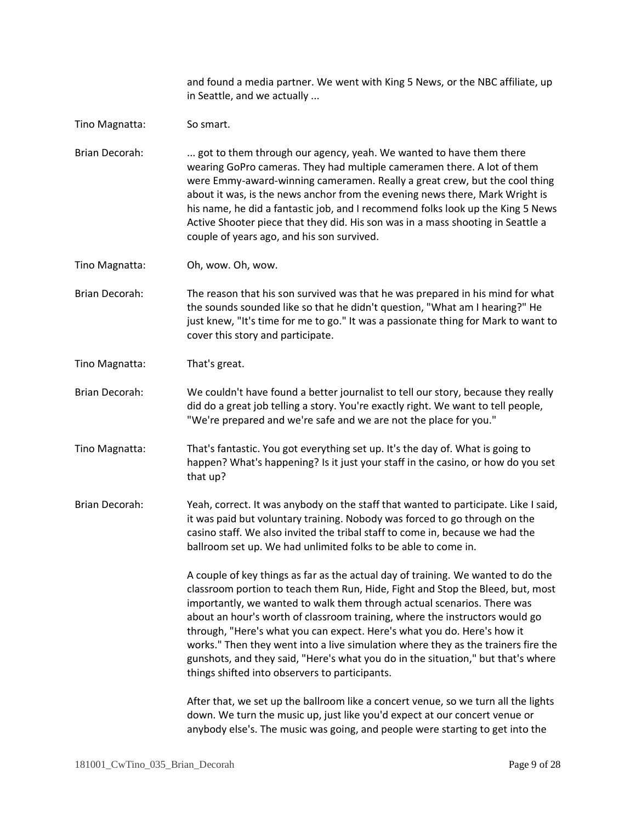and found a media partner. We went with King 5 News, or the NBC affiliate, up in Seattle, and we actually ...

Tino Magnatta: So smart.

Brian Decorah: ... got to them through our agency, yeah. We wanted to have them there wearing GoPro cameras. They had multiple cameramen there. A lot of them were Emmy-award-winning cameramen. Really a great crew, but the cool thing about it was, is the news anchor from the evening news there, Mark Wright is his name, he did a fantastic job, and I recommend folks look up the King 5 News Active Shooter piece that they did. His son was in a mass shooting in Seattle a couple of years ago, and his son survived.

- Tino Magnatta: Oh, wow. Oh, wow.
- Brian Decorah: The reason that his son survived was that he was prepared in his mind for what the sounds sounded like so that he didn't question, "What am I hearing?" He just knew, "It's time for me to go." It was a passionate thing for Mark to want to cover this story and participate.
- Tino Magnatta: That's great.

Brian Decorah: We couldn't have found a better journalist to tell our story, because they really did do a great job telling a story. You're exactly right. We want to tell people, "We're prepared and we're safe and we are not the place for you."

- Tino Magnatta: That's fantastic. You got everything set up. It's the day of. What is going to happen? What's happening? Is it just your staff in the casino, or how do you set that up?
- Brian Decorah: Yeah, correct. It was anybody on the staff that wanted to participate. Like I said, it was paid but voluntary training. Nobody was forced to go through on the casino staff. We also invited the tribal staff to come in, because we had the ballroom set up. We had unlimited folks to be able to come in.

A couple of key things as far as the actual day of training. We wanted to do the classroom portion to teach them Run, Hide, Fight and Stop the Bleed, but, most importantly, we wanted to walk them through actual scenarios. There was about an hour's worth of classroom training, where the instructors would go through, "Here's what you can expect. Here's what you do. Here's how it works." Then they went into a live simulation where they as the trainers fire the gunshots, and they said, "Here's what you do in the situation," but that's where things shifted into observers to participants.

After that, we set up the ballroom like a concert venue, so we turn all the lights down. We turn the music up, just like you'd expect at our concert venue or anybody else's. The music was going, and people were starting to get into the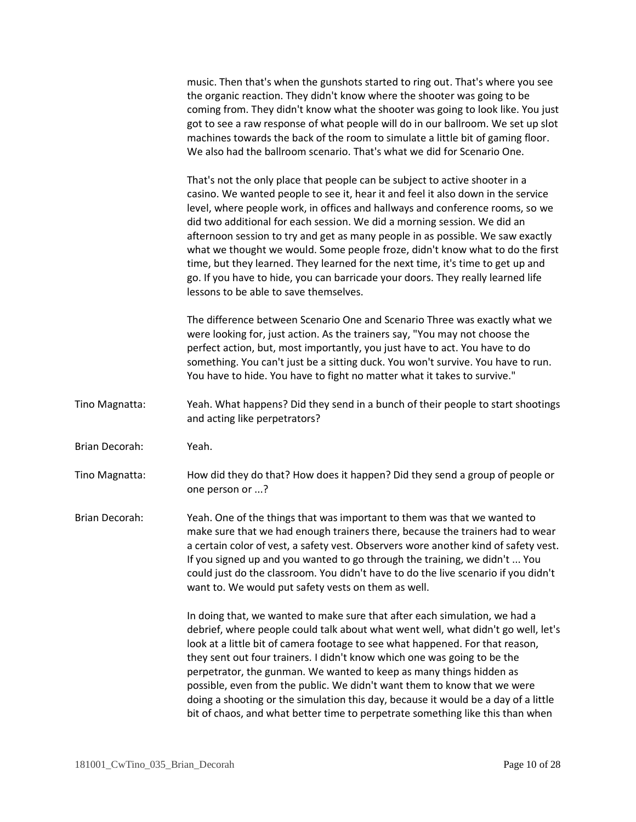music. Then that's when the gunshots started to ring out. That's where you see the organic reaction. They didn't know where the shooter was going to be coming from. They didn't know what the shooter was going to look like. You just got to see a raw response of what people will do in our ballroom. We set up slot machines towards the back of the room to simulate a little bit of gaming floor. We also had the ballroom scenario. That's what we did for Scenario One.

That's not the only place that people can be subject to active shooter in a casino. We wanted people to see it, hear it and feel it also down in the service level, where people work, in offices and hallways and conference rooms, so we did two additional for each session. We did a morning session. We did an afternoon session to try and get as many people in as possible. We saw exactly what we thought we would. Some people froze, didn't know what to do the first time, but they learned. They learned for the next time, it's time to get up and go. If you have to hide, you can barricade your doors. They really learned life lessons to be able to save themselves.

The difference between Scenario One and Scenario Three was exactly what we were looking for, just action. As the trainers say, "You may not choose the perfect action, but, most importantly, you just have to act. You have to do something. You can't just be a sitting duck. You won't survive. You have to run. You have to hide. You have to fight no matter what it takes to survive."

- Tino Magnatta: Yeah. What happens? Did they send in a bunch of their people to start shootings and acting like perpetrators?
- Brian Decorah: Yeah.

Tino Magnatta: How did they do that? How does it happen? Did they send a group of people or one person or ...?

Brian Decorah: Yeah. One of the things that was important to them was that we wanted to make sure that we had enough trainers there, because the trainers had to wear a certain color of vest, a safety vest. Observers wore another kind of safety vest. If you signed up and you wanted to go through the training, we didn't ... You could just do the classroom. You didn't have to do the live scenario if you didn't want to. We would put safety vests on them as well.

> In doing that, we wanted to make sure that after each simulation, we had a debrief, where people could talk about what went well, what didn't go well, let's look at a little bit of camera footage to see what happened. For that reason, they sent out four trainers. I didn't know which one was going to be the perpetrator, the gunman. We wanted to keep as many things hidden as possible, even from the public. We didn't want them to know that we were doing a shooting or the simulation this day, because it would be a day of a little bit of chaos, and what better time to perpetrate something like this than when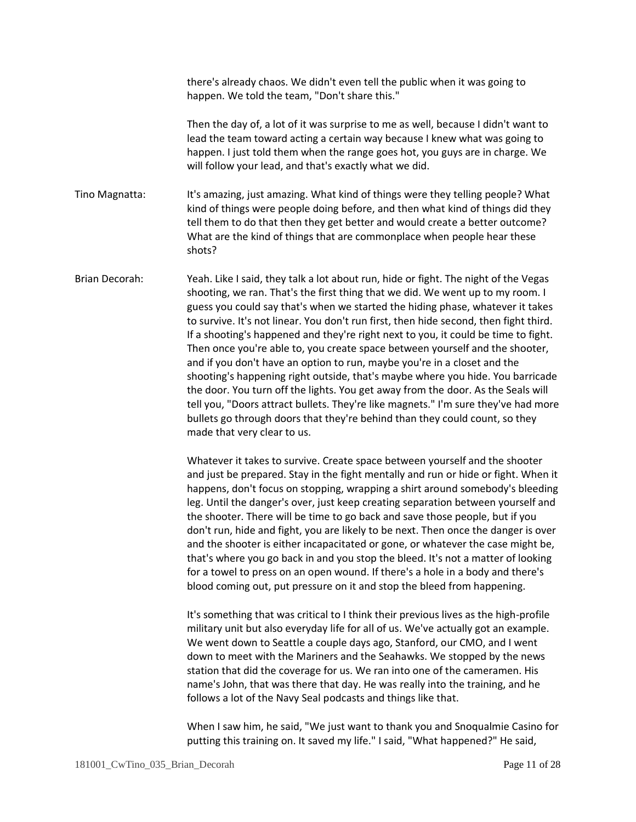there's already chaos. We didn't even tell the public when it was going to happen. We told the team, "Don't share this."

Then the day of, a lot of it was surprise to me as well, because I didn't want to lead the team toward acting a certain way because I knew what was going to happen. I just told them when the range goes hot, you guys are in charge. We will follow your lead, and that's exactly what we did.

Tino Magnatta: It's amazing, just amazing. What kind of things were they telling people? What kind of things were people doing before, and then what kind of things did they tell them to do that then they get better and would create a better outcome? What are the kind of things that are commonplace when people hear these shots?

Brian Decorah: Yeah. Like I said, they talk a lot about run, hide or fight. The night of the Vegas shooting, we ran. That's the first thing that we did. We went up to my room. I guess you could say that's when we started the hiding phase, whatever it takes to survive. It's not linear. You don't run first, then hide second, then fight third. If a shooting's happened and they're right next to you, it could be time to fight. Then once you're able to, you create space between yourself and the shooter, and if you don't have an option to run, maybe you're in a closet and the shooting's happening right outside, that's maybe where you hide. You barricade the door. You turn off the lights. You get away from the door. As the Seals will tell you, "Doors attract bullets. They're like magnets." I'm sure they've had more bullets go through doors that they're behind than they could count, so they made that very clear to us.

> Whatever it takes to survive. Create space between yourself and the shooter and just be prepared. Stay in the fight mentally and run or hide or fight. When it happens, don't focus on stopping, wrapping a shirt around somebody's bleeding leg. Until the danger's over, just keep creating separation between yourself and the shooter. There will be time to go back and save those people, but if you don't run, hide and fight, you are likely to be next. Then once the danger is over and the shooter is either incapacitated or gone, or whatever the case might be, that's where you go back in and you stop the bleed. It's not a matter of looking for a towel to press on an open wound. If there's a hole in a body and there's blood coming out, put pressure on it and stop the bleed from happening.

It's something that was critical to I think their previous lives as the high-profile military unit but also everyday life for all of us. We've actually got an example. We went down to Seattle a couple days ago, Stanford, our CMO, and I went down to meet with the Mariners and the Seahawks. We stopped by the news station that did the coverage for us. We ran into one of the cameramen. His name's John, that was there that day. He was really into the training, and he follows a lot of the Navy Seal podcasts and things like that.

When I saw him, he said, "We just want to thank you and Snoqualmie Casino for putting this training on. It saved my life." I said, "What happened?" He said,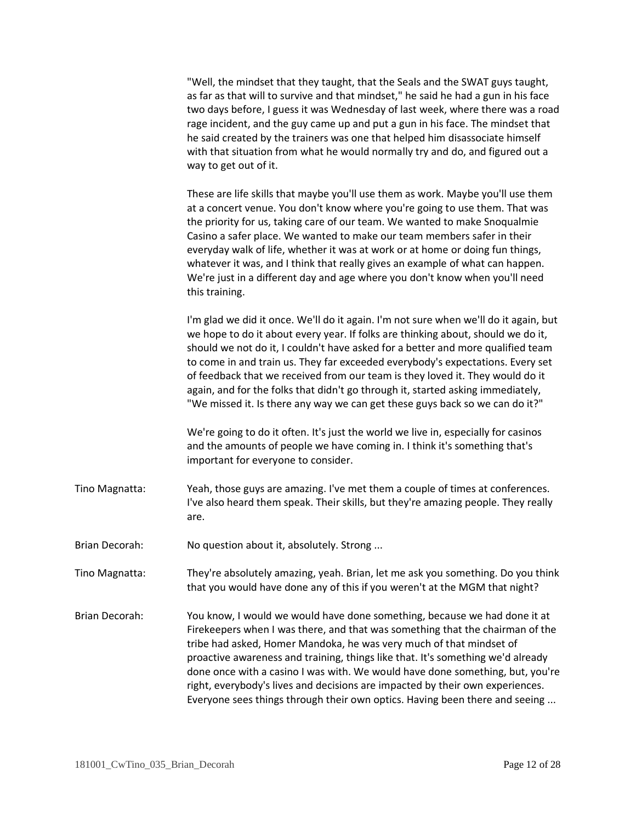| "Well, the mindset that they taught, that the Seals and the SWAT guys taught,      |
|------------------------------------------------------------------------------------|
| as far as that will to survive and that mindset," he said he had a gun in his face |
| two days before, I guess it was Wednesday of last week, where there was a road     |
| rage incident, and the guy came up and put a gun in his face. The mindset that     |
| he said created by the trainers was one that helped him disassociate himself       |
| with that situation from what he would normally try and do, and figured out a      |
| way to get out of it.                                                              |

These are life skills that maybe you'll use them as work. Maybe you'll use them at a concert venue. You don't know where you're going to use them. That was the priority for us, taking care of our team. We wanted to make Snoqualmie Casino a safer place. We wanted to make our team members safer in their everyday walk of life, whether it was at work or at home or doing fun things, whatever it was, and I think that really gives an example of what can happen. We're just in a different day and age where you don't know when you'll need this training.

I'm glad we did it once. We'll do it again. I'm not sure when we'll do it again, but we hope to do it about every year. If folks are thinking about, should we do it, should we not do it, I couldn't have asked for a better and more qualified team to come in and train us. They far exceeded everybody's expectations. Every set of feedback that we received from our team is they loved it. They would do it again, and for the folks that didn't go through it, started asking immediately, "We missed it. Is there any way we can get these guys back so we can do it?"

We're going to do it often. It's just the world we live in, especially for casinos and the amounts of people we have coming in. I think it's something that's important for everyone to consider.

- Tino Magnatta: Yeah, those guys are amazing. I've met them a couple of times at conferences. I've also heard them speak. Their skills, but they're amazing people. They really are.
- Brian Decorah: No question about it, absolutely. Strong ...
- Tino Magnatta: They're absolutely amazing, yeah. Brian, let me ask you something. Do you think that you would have done any of this if you weren't at the MGM that night?
- Brian Decorah: You know, I would we would have done something, because we had done it at Firekeepers when I was there, and that was something that the chairman of the tribe had asked, Homer Mandoka, he was very much of that mindset of proactive awareness and training, things like that. It's something we'd already done once with a casino I was with. We would have done something, but, you're right, everybody's lives and decisions are impacted by their own experiences. Everyone sees things through their own optics. Having been there and seeing ...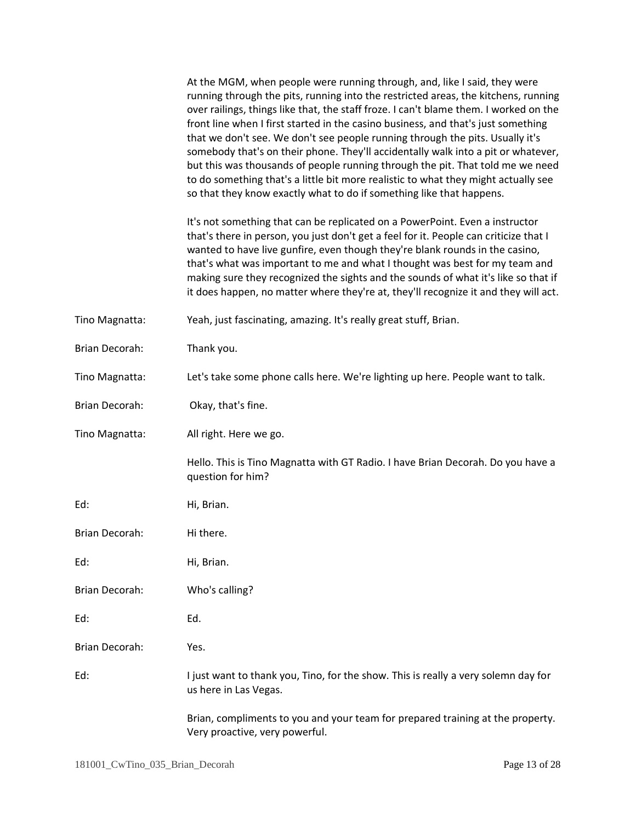|                       | At the MGM, when people were running through, and, like I said, they were<br>running through the pits, running into the restricted areas, the kitchens, running<br>over railings, things like that, the staff froze. I can't blame them. I worked on the<br>front line when I first started in the casino business, and that's just something<br>that we don't see. We don't see people running through the pits. Usually it's<br>somebody that's on their phone. They'll accidentally walk into a pit or whatever,<br>but this was thousands of people running through the pit. That told me we need<br>to do something that's a little bit more realistic to what they might actually see<br>so that they know exactly what to do if something like that happens. |
|-----------------------|---------------------------------------------------------------------------------------------------------------------------------------------------------------------------------------------------------------------------------------------------------------------------------------------------------------------------------------------------------------------------------------------------------------------------------------------------------------------------------------------------------------------------------------------------------------------------------------------------------------------------------------------------------------------------------------------------------------------------------------------------------------------|
|                       | It's not something that can be replicated on a PowerPoint. Even a instructor<br>that's there in person, you just don't get a feel for it. People can criticize that I<br>wanted to have live gunfire, even though they're blank rounds in the casino,<br>that's what was important to me and what I thought was best for my team and<br>making sure they recognized the sights and the sounds of what it's like so that if<br>it does happen, no matter where they're at, they'll recognize it and they will act.                                                                                                                                                                                                                                                   |
| Tino Magnatta:        | Yeah, just fascinating, amazing. It's really great stuff, Brian.                                                                                                                                                                                                                                                                                                                                                                                                                                                                                                                                                                                                                                                                                                    |
| Brian Decorah:        | Thank you.                                                                                                                                                                                                                                                                                                                                                                                                                                                                                                                                                                                                                                                                                                                                                          |
| Tino Magnatta:        | Let's take some phone calls here. We're lighting up here. People want to talk.                                                                                                                                                                                                                                                                                                                                                                                                                                                                                                                                                                                                                                                                                      |
| Brian Decorah:        | Okay, that's fine.                                                                                                                                                                                                                                                                                                                                                                                                                                                                                                                                                                                                                                                                                                                                                  |
| Tino Magnatta:        | All right. Here we go.                                                                                                                                                                                                                                                                                                                                                                                                                                                                                                                                                                                                                                                                                                                                              |
|                       | Hello. This is Tino Magnatta with GT Radio. I have Brian Decorah. Do you have a<br>question for him?                                                                                                                                                                                                                                                                                                                                                                                                                                                                                                                                                                                                                                                                |
| Ed:                   | Hi, Brian.                                                                                                                                                                                                                                                                                                                                                                                                                                                                                                                                                                                                                                                                                                                                                          |
| Brian Decorah:        | Hi there.                                                                                                                                                                                                                                                                                                                                                                                                                                                                                                                                                                                                                                                                                                                                                           |
| Ed:                   | Hi, Brian.                                                                                                                                                                                                                                                                                                                                                                                                                                                                                                                                                                                                                                                                                                                                                          |
| <b>Brian Decorah:</b> | Who's calling?                                                                                                                                                                                                                                                                                                                                                                                                                                                                                                                                                                                                                                                                                                                                                      |
| Ed:                   | Ed.                                                                                                                                                                                                                                                                                                                                                                                                                                                                                                                                                                                                                                                                                                                                                                 |
| Brian Decorah:        | Yes.                                                                                                                                                                                                                                                                                                                                                                                                                                                                                                                                                                                                                                                                                                                                                                |
| Ed:                   | I just want to thank you, Tino, for the show. This is really a very solemn day for<br>us here in Las Vegas.                                                                                                                                                                                                                                                                                                                                                                                                                                                                                                                                                                                                                                                         |
|                       | Brian, compliments to you and your team for prepared training at the property.<br>Very proactive, very powerful.                                                                                                                                                                                                                                                                                                                                                                                                                                                                                                                                                                                                                                                    |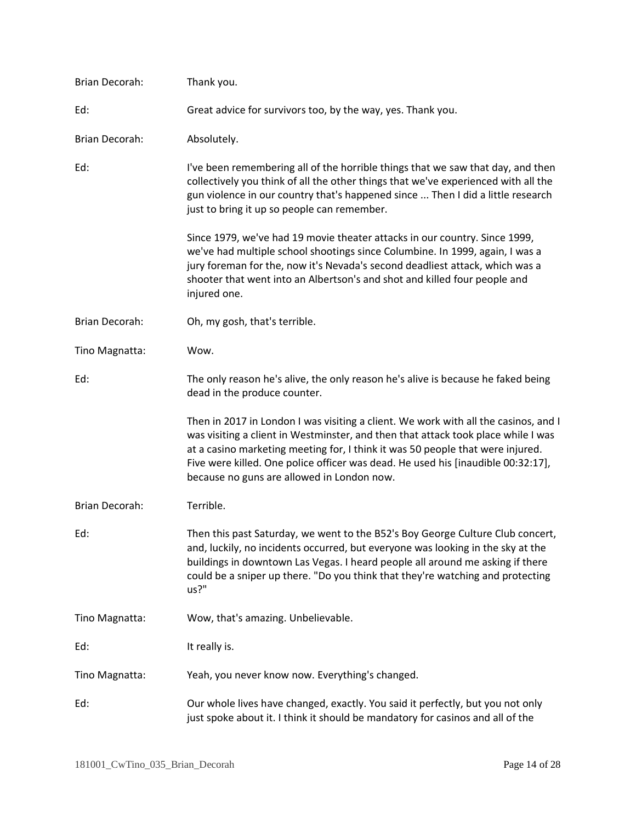| <b>Brian Decorah:</b> | Thank you.                                                                                                                                                                                                                                                                                                                                                                                   |
|-----------------------|----------------------------------------------------------------------------------------------------------------------------------------------------------------------------------------------------------------------------------------------------------------------------------------------------------------------------------------------------------------------------------------------|
| Ed:                   | Great advice for survivors too, by the way, yes. Thank you.                                                                                                                                                                                                                                                                                                                                  |
| Brian Decorah:        | Absolutely.                                                                                                                                                                                                                                                                                                                                                                                  |
| Ed:                   | I've been remembering all of the horrible things that we saw that day, and then<br>collectively you think of all the other things that we've experienced with all the<br>gun violence in our country that's happened since  Then I did a little research<br>just to bring it up so people can remember.                                                                                      |
|                       | Since 1979, we've had 19 movie theater attacks in our country. Since 1999,<br>we've had multiple school shootings since Columbine. In 1999, again, I was a<br>jury foreman for the, now it's Nevada's second deadliest attack, which was a<br>shooter that went into an Albertson's and shot and killed four people and<br>injured one.                                                      |
| <b>Brian Decorah:</b> | Oh, my gosh, that's terrible.                                                                                                                                                                                                                                                                                                                                                                |
| Tino Magnatta:        | Wow.                                                                                                                                                                                                                                                                                                                                                                                         |
| Ed:                   | The only reason he's alive, the only reason he's alive is because he faked being<br>dead in the produce counter.                                                                                                                                                                                                                                                                             |
|                       | Then in 2017 in London I was visiting a client. We work with all the casinos, and I<br>was visiting a client in Westminster, and then that attack took place while I was<br>at a casino marketing meeting for, I think it was 50 people that were injured.<br>Five were killed. One police officer was dead. He used his [inaudible 00:32:17],<br>because no guns are allowed in London now. |
| Brian Decorah:        | Terrible.                                                                                                                                                                                                                                                                                                                                                                                    |
| Ed:                   | Then this past Saturday, we went to the B52's Boy George Culture Club concert,<br>and, luckily, no incidents occurred, but everyone was looking in the sky at the<br>buildings in downtown Las Vegas. I heard people all around me asking if there<br>could be a sniper up there. "Do you think that they're watching and protecting<br>us?"                                                 |
| Tino Magnatta:        | Wow, that's amazing. Unbelievable.                                                                                                                                                                                                                                                                                                                                                           |
| Ed:                   | It really is.                                                                                                                                                                                                                                                                                                                                                                                |
| Tino Magnatta:        | Yeah, you never know now. Everything's changed.                                                                                                                                                                                                                                                                                                                                              |
| Ed:                   | Our whole lives have changed, exactly. You said it perfectly, but you not only<br>just spoke about it. I think it should be mandatory for casinos and all of the                                                                                                                                                                                                                             |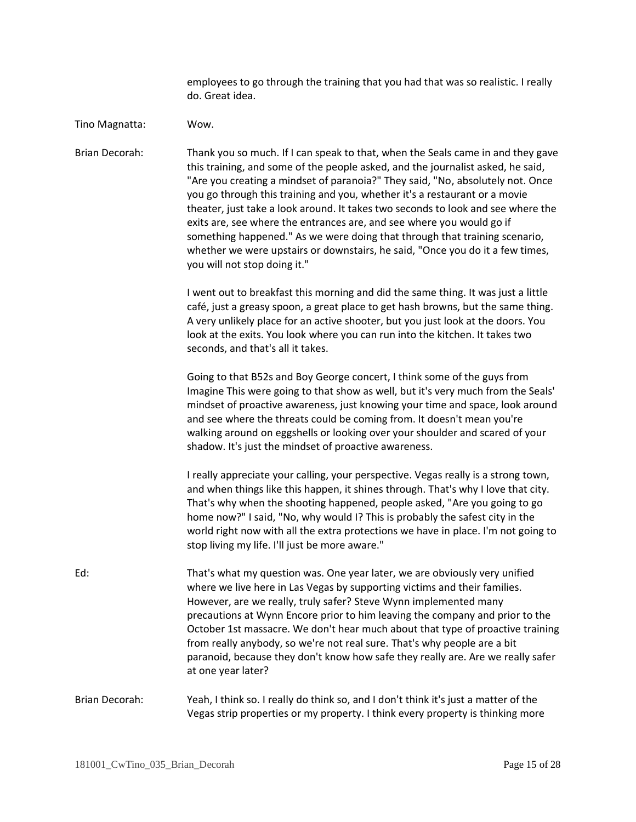employees to go through the training that you had that was so realistic. I really do. Great idea.

## Tino Magnatta: Wow.

Brian Decorah: Thank you so much. If I can speak to that, when the Seals came in and they gave this training, and some of the people asked, and the journalist asked, he said, "Are you creating a mindset of paranoia?" They said, "No, absolutely not. Once you go through this training and you, whether it's a restaurant or a movie theater, just take a look around. It takes two seconds to look and see where the exits are, see where the entrances are, and see where you would go if something happened." As we were doing that through that training scenario, whether we were upstairs or downstairs, he said, "Once you do it a few times, you will not stop doing it."

> I went out to breakfast this morning and did the same thing. It was just a little café, just a greasy spoon, a great place to get hash browns, but the same thing. A very unlikely place for an active shooter, but you just look at the doors. You look at the exits. You look where you can run into the kitchen. It takes two seconds, and that's all it takes.

Going to that B52s and Boy George concert, I think some of the guys from Imagine This were going to that show as well, but it's very much from the Seals' mindset of proactive awareness, just knowing your time and space, look around and see where the threats could be coming from. It doesn't mean you're walking around on eggshells or looking over your shoulder and scared of your shadow. It's just the mindset of proactive awareness.

I really appreciate your calling, your perspective. Vegas really is a strong town, and when things like this happen, it shines through. That's why I love that city. That's why when the shooting happened, people asked, "Are you going to go home now?" I said, "No, why would I? This is probably the safest city in the world right now with all the extra protections we have in place. I'm not going to stop living my life. I'll just be more aware."

Ed: That's what my question was. One year later, we are obviously very unified where we live here in Las Vegas by supporting victims and their families. However, are we really, truly safer? Steve Wynn implemented many precautions at Wynn Encore prior to him leaving the company and prior to the October 1st massacre. We don't hear much about that type of proactive training from really anybody, so we're not real sure. That's why people are a bit paranoid, because they don't know how safe they really are. Are we really safer at one year later?

Brian Decorah: Yeah, I think so. I really do think so, and I don't think it's just a matter of the Vegas strip properties or my property. I think every property is thinking more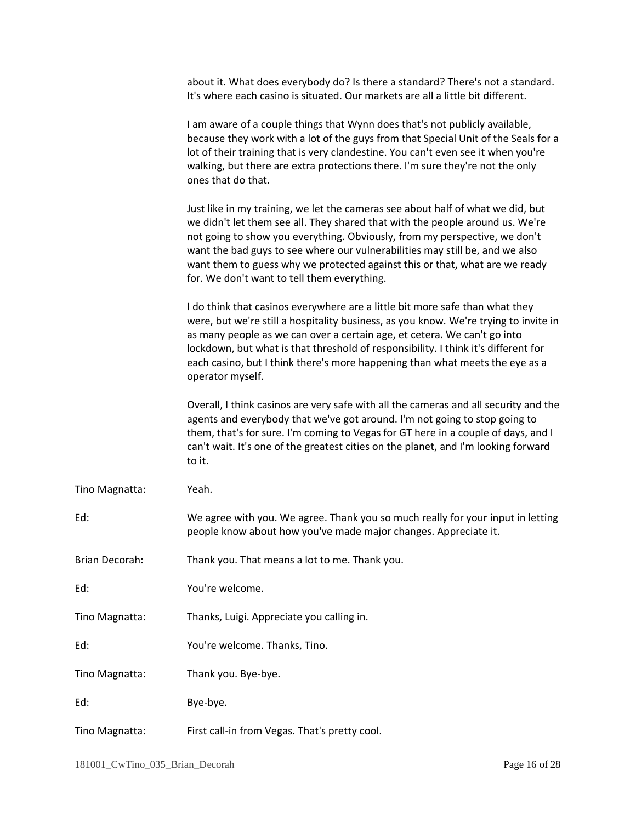|                | about it. What does everybody do? Is there a standard? There's not a standard.<br>It's where each casino is situated. Our markets are all a little bit different.                                                                                                                                                                                                                                                                                            |
|----------------|--------------------------------------------------------------------------------------------------------------------------------------------------------------------------------------------------------------------------------------------------------------------------------------------------------------------------------------------------------------------------------------------------------------------------------------------------------------|
|                | I am aware of a couple things that Wynn does that's not publicly available,<br>because they work with a lot of the guys from that Special Unit of the Seals for a<br>lot of their training that is very clandestine. You can't even see it when you're<br>walking, but there are extra protections there. I'm sure they're not the only<br>ones that do that.                                                                                                |
|                | Just like in my training, we let the cameras see about half of what we did, but<br>we didn't let them see all. They shared that with the people around us. We're<br>not going to show you everything. Obviously, from my perspective, we don't<br>want the bad guys to see where our vulnerabilities may still be, and we also<br>want them to guess why we protected against this or that, what are we ready<br>for. We don't want to tell them everything. |
|                | I do think that casinos everywhere are a little bit more safe than what they<br>were, but we're still a hospitality business, as you know. We're trying to invite in<br>as many people as we can over a certain age, et cetera. We can't go into<br>lockdown, but what is that threshold of responsibility. I think it's different for<br>each casino, but I think there's more happening than what meets the eye as a<br>operator myself.                   |
|                | Overall, I think casinos are very safe with all the cameras and all security and the<br>agents and everybody that we've got around. I'm not going to stop going to<br>them, that's for sure. I'm coming to Vegas for GT here in a couple of days, and I<br>can't wait. It's one of the greatest cities on the planet, and I'm looking forward<br>to it.                                                                                                      |
| Tino Magnatta: | Yeah.                                                                                                                                                                                                                                                                                                                                                                                                                                                        |
| Ed:            | We agree with you. We agree. Thank you so much really for your input in letting<br>people know about how you've made major changes. Appreciate it.                                                                                                                                                                                                                                                                                                           |
| Brian Decorah: | Thank you. That means a lot to me. Thank you.                                                                                                                                                                                                                                                                                                                                                                                                                |
| Ed:            | You're welcome.                                                                                                                                                                                                                                                                                                                                                                                                                                              |
| Tino Magnatta: | Thanks, Luigi. Appreciate you calling in.                                                                                                                                                                                                                                                                                                                                                                                                                    |
| Ed:            | You're welcome. Thanks, Tino.                                                                                                                                                                                                                                                                                                                                                                                                                                |
| Tino Magnatta: | Thank you. Bye-bye.                                                                                                                                                                                                                                                                                                                                                                                                                                          |
| Ed:            | Bye-bye.                                                                                                                                                                                                                                                                                                                                                                                                                                                     |
| Tino Magnatta: | First call-in from Vegas. That's pretty cool.                                                                                                                                                                                                                                                                                                                                                                                                                |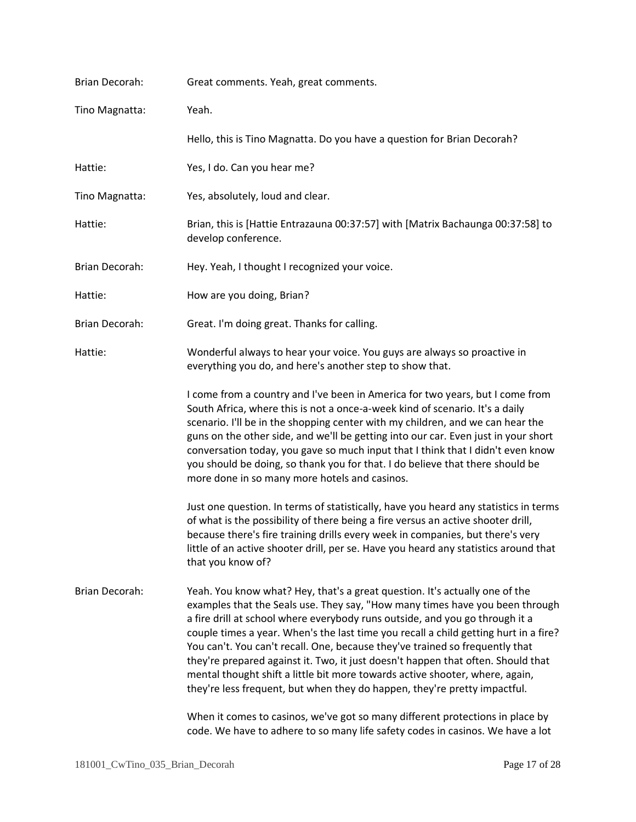| Brian Decorah:        | Great comments. Yeah, great comments.                                                                                                                                                                                                                                                                                                                                                                                                                                                                                                                                                                                                                                                                                                                 |
|-----------------------|-------------------------------------------------------------------------------------------------------------------------------------------------------------------------------------------------------------------------------------------------------------------------------------------------------------------------------------------------------------------------------------------------------------------------------------------------------------------------------------------------------------------------------------------------------------------------------------------------------------------------------------------------------------------------------------------------------------------------------------------------------|
| Tino Magnatta:        | Yeah.                                                                                                                                                                                                                                                                                                                                                                                                                                                                                                                                                                                                                                                                                                                                                 |
|                       | Hello, this is Tino Magnatta. Do you have a question for Brian Decorah?                                                                                                                                                                                                                                                                                                                                                                                                                                                                                                                                                                                                                                                                               |
| Hattie:               | Yes, I do. Can you hear me?                                                                                                                                                                                                                                                                                                                                                                                                                                                                                                                                                                                                                                                                                                                           |
| Tino Magnatta:        | Yes, absolutely, loud and clear.                                                                                                                                                                                                                                                                                                                                                                                                                                                                                                                                                                                                                                                                                                                      |
| Hattie:               | Brian, this is [Hattie Entrazauna 00:37:57] with [Matrix Bachaunga 00:37:58] to<br>develop conference.                                                                                                                                                                                                                                                                                                                                                                                                                                                                                                                                                                                                                                                |
| Brian Decorah:        | Hey. Yeah, I thought I recognized your voice.                                                                                                                                                                                                                                                                                                                                                                                                                                                                                                                                                                                                                                                                                                         |
| Hattie:               | How are you doing, Brian?                                                                                                                                                                                                                                                                                                                                                                                                                                                                                                                                                                                                                                                                                                                             |
| <b>Brian Decorah:</b> | Great. I'm doing great. Thanks for calling.                                                                                                                                                                                                                                                                                                                                                                                                                                                                                                                                                                                                                                                                                                           |
| Hattie:               | Wonderful always to hear your voice. You guys are always so proactive in<br>everything you do, and here's another step to show that.                                                                                                                                                                                                                                                                                                                                                                                                                                                                                                                                                                                                                  |
|                       | I come from a country and I've been in America for two years, but I come from<br>South Africa, where this is not a once-a-week kind of scenario. It's a daily<br>scenario. I'll be in the shopping center with my children, and we can hear the<br>guns on the other side, and we'll be getting into our car. Even just in your short<br>conversation today, you gave so much input that I think that I didn't even know<br>you should be doing, so thank you for that. I do believe that there should be<br>more done in so many more hotels and casinos.                                                                                                                                                                                            |
|                       | Just one question. In terms of statistically, have you heard any statistics in terms<br>of what is the possibility of there being a fire versus an active shooter drill,<br>because there's fire training drills every week in companies, but there's very<br>little of an active shooter drill, per se. Have you heard any statistics around that<br>that you know of?                                                                                                                                                                                                                                                                                                                                                                               |
| <b>Brian Decorah:</b> | Yeah. You know what? Hey, that's a great question. It's actually one of the<br>examples that the Seals use. They say, "How many times have you been through<br>a fire drill at school where everybody runs outside, and you go through it a<br>couple times a year. When's the last time you recall a child getting hurt in a fire?<br>You can't. You can't recall. One, because they've trained so frequently that<br>they're prepared against it. Two, it just doesn't happen that often. Should that<br>mental thought shift a little bit more towards active shooter, where, again,<br>they're less frequent, but when they do happen, they're pretty impactful.<br>When it comes to casinos, we've got so many different protections in place by |
|                       | code. We have to adhere to so many life safety codes in casinos. We have a lot                                                                                                                                                                                                                                                                                                                                                                                                                                                                                                                                                                                                                                                                        |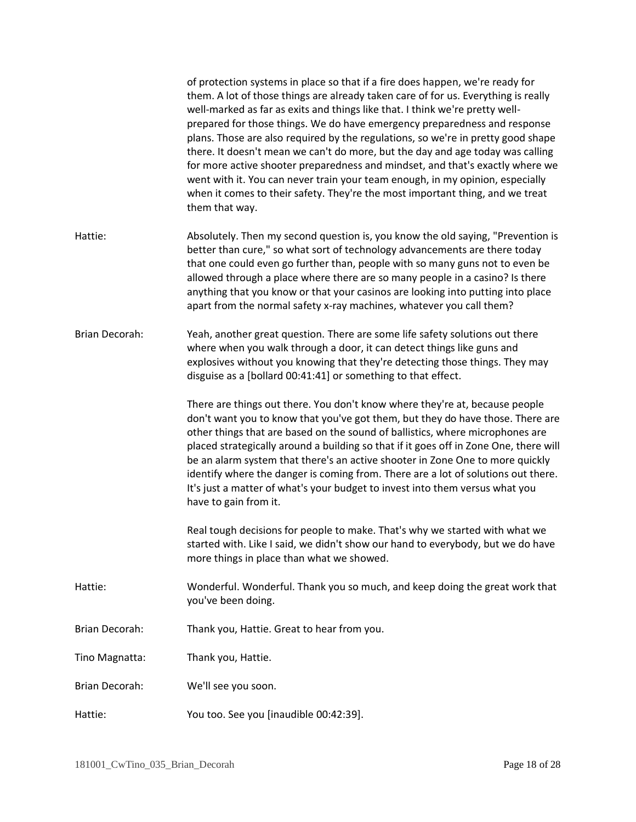|                       | of protection systems in place so that if a fire does happen, we're ready for<br>them. A lot of those things are already taken care of for us. Everything is really<br>well-marked as far as exits and things like that. I think we're pretty well-<br>prepared for those things. We do have emergency preparedness and response<br>plans. Those are also required by the regulations, so we're in pretty good shape<br>there. It doesn't mean we can't do more, but the day and age today was calling<br>for more active shooter preparedness and mindset, and that's exactly where we<br>went with it. You can never train your team enough, in my opinion, especially<br>when it comes to their safety. They're the most important thing, and we treat<br>them that way. |
|-----------------------|-----------------------------------------------------------------------------------------------------------------------------------------------------------------------------------------------------------------------------------------------------------------------------------------------------------------------------------------------------------------------------------------------------------------------------------------------------------------------------------------------------------------------------------------------------------------------------------------------------------------------------------------------------------------------------------------------------------------------------------------------------------------------------|
| Hattie:               | Absolutely. Then my second question is, you know the old saying, "Prevention is<br>better than cure," so what sort of technology advancements are there today<br>that one could even go further than, people with so many guns not to even be<br>allowed through a place where there are so many people in a casino? Is there<br>anything that you know or that your casinos are looking into putting into place<br>apart from the normal safety x-ray machines, whatever you call them?                                                                                                                                                                                                                                                                                    |
| <b>Brian Decorah:</b> | Yeah, another great question. There are some life safety solutions out there<br>where when you walk through a door, it can detect things like guns and<br>explosives without you knowing that they're detecting those things. They may<br>disguise as a [bollard 00:41:41] or something to that effect.                                                                                                                                                                                                                                                                                                                                                                                                                                                                     |
|                       | There are things out there. You don't know where they're at, because people<br>don't want you to know that you've got them, but they do have those. There are<br>other things that are based on the sound of ballistics, where microphones are<br>placed strategically around a building so that if it goes off in Zone One, there will<br>be an alarm system that there's an active shooter in Zone One to more quickly<br>identify where the danger is coming from. There are a lot of solutions out there.<br>It's just a matter of what's your budget to invest into them versus what you<br>have to gain from it.                                                                                                                                                      |
|                       | Real tough decisions for people to make. That's why we started with what we<br>started with. Like I said, we didn't show our hand to everybody, but we do have<br>more things in place than what we showed.                                                                                                                                                                                                                                                                                                                                                                                                                                                                                                                                                                 |
| Hattie:               | Wonderful. Wonderful. Thank you so much, and keep doing the great work that<br>you've been doing.                                                                                                                                                                                                                                                                                                                                                                                                                                                                                                                                                                                                                                                                           |
| <b>Brian Decorah:</b> | Thank you, Hattie. Great to hear from you.                                                                                                                                                                                                                                                                                                                                                                                                                                                                                                                                                                                                                                                                                                                                  |
| Tino Magnatta:        | Thank you, Hattie.                                                                                                                                                                                                                                                                                                                                                                                                                                                                                                                                                                                                                                                                                                                                                          |
| Brian Decorah:        | We'll see you soon.                                                                                                                                                                                                                                                                                                                                                                                                                                                                                                                                                                                                                                                                                                                                                         |
| Hattie:               | You too. See you [inaudible 00:42:39].                                                                                                                                                                                                                                                                                                                                                                                                                                                                                                                                                                                                                                                                                                                                      |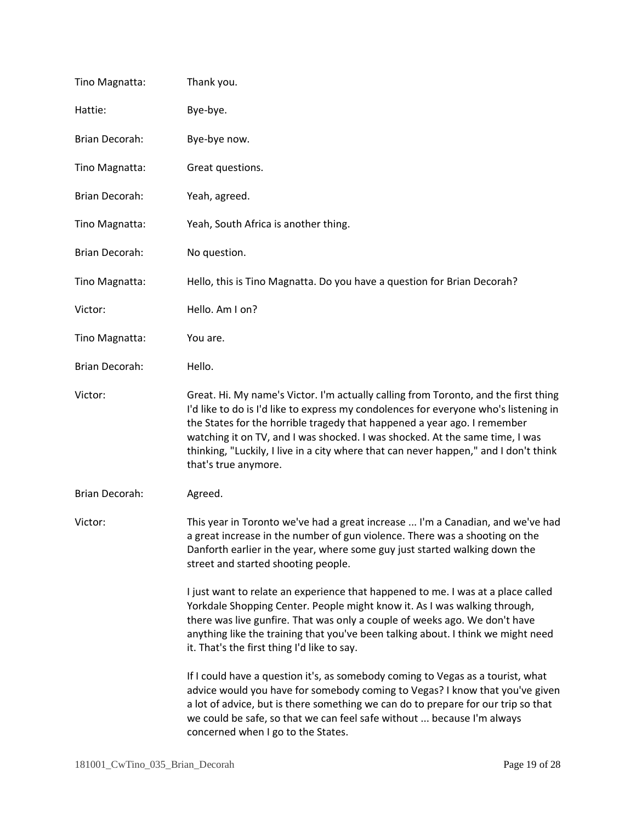| Tino Magnatta:        | Thank you.                                                                                                                                                                                                                                                                                                                                                                                                                                              |
|-----------------------|---------------------------------------------------------------------------------------------------------------------------------------------------------------------------------------------------------------------------------------------------------------------------------------------------------------------------------------------------------------------------------------------------------------------------------------------------------|
| Hattie:               | Bye-bye.                                                                                                                                                                                                                                                                                                                                                                                                                                                |
| Brian Decorah:        | Bye-bye now.                                                                                                                                                                                                                                                                                                                                                                                                                                            |
| Tino Magnatta:        | Great questions.                                                                                                                                                                                                                                                                                                                                                                                                                                        |
| <b>Brian Decorah:</b> | Yeah, agreed.                                                                                                                                                                                                                                                                                                                                                                                                                                           |
| Tino Magnatta:        | Yeah, South Africa is another thing.                                                                                                                                                                                                                                                                                                                                                                                                                    |
| Brian Decorah:        | No question.                                                                                                                                                                                                                                                                                                                                                                                                                                            |
| Tino Magnatta:        | Hello, this is Tino Magnatta. Do you have a question for Brian Decorah?                                                                                                                                                                                                                                                                                                                                                                                 |
| Victor:               | Hello. Am I on?                                                                                                                                                                                                                                                                                                                                                                                                                                         |
| Tino Magnatta:        | You are.                                                                                                                                                                                                                                                                                                                                                                                                                                                |
| <b>Brian Decorah:</b> | Hello.                                                                                                                                                                                                                                                                                                                                                                                                                                                  |
| Victor:               | Great. Hi. My name's Victor. I'm actually calling from Toronto, and the first thing<br>I'd like to do is I'd like to express my condolences for everyone who's listening in<br>the States for the horrible tragedy that happened a year ago. I remember<br>watching it on TV, and I was shocked. I was shocked. At the same time, I was<br>thinking, "Luckily, I live in a city where that can never happen," and I don't think<br>that's true anymore. |
| Brian Decorah:        | Agreed.                                                                                                                                                                                                                                                                                                                                                                                                                                                 |
| Victor:               | This year in Toronto we've had a great increase  I'm a Canadian, and we've had<br>a great increase in the number of gun violence. There was a shooting on the<br>Danforth earlier in the year, where some guy just started walking down the<br>street and started shooting people.                                                                                                                                                                      |
|                       | I just want to relate an experience that happened to me. I was at a place called<br>Yorkdale Shopping Center. People might know it. As I was walking through,<br>there was live gunfire. That was only a couple of weeks ago. We don't have<br>anything like the training that you've been talking about. I think we might need<br>it. That's the first thing I'd like to say.                                                                          |
|                       | If I could have a question it's, as somebody coming to Vegas as a tourist, what<br>advice would you have for somebody coming to Vegas? I know that you've given<br>a lot of advice, but is there something we can do to prepare for our trip so that<br>we could be safe, so that we can feel safe without  because I'm always<br>concerned when I go to the States.                                                                                    |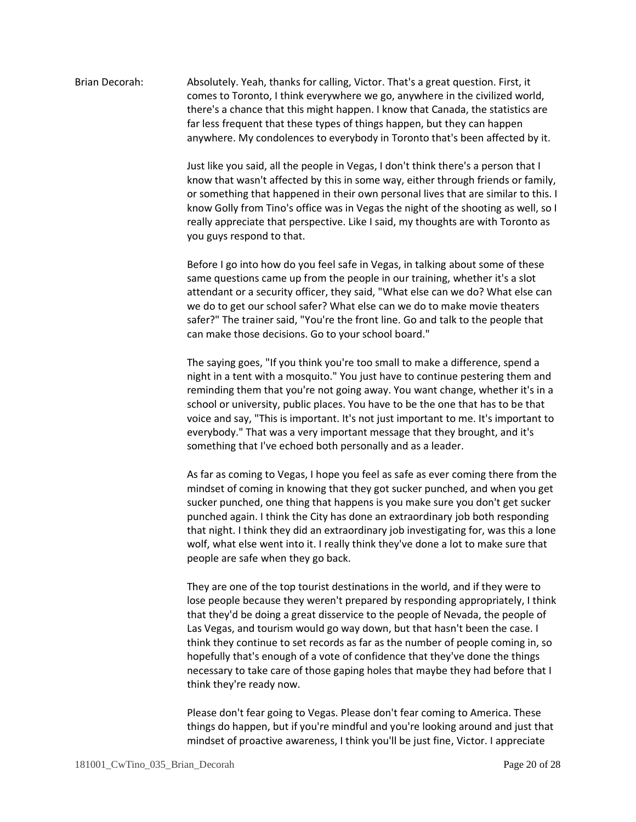## Brian Decorah: Absolutely. Yeah, thanks for calling, Victor. That's a great question. First, it comes to Toronto, I think everywhere we go, anywhere in the civilized world, there's a chance that this might happen. I know that Canada, the statistics are far less frequent that these types of things happen, but they can happen anywhere. My condolences to everybody in Toronto that's been affected by it.

Just like you said, all the people in Vegas, I don't think there's a person that I know that wasn't affected by this in some way, either through friends or family, or something that happened in their own personal lives that are similar to this. I know Golly from Tino's office was in Vegas the night of the shooting as well, so I really appreciate that perspective. Like I said, my thoughts are with Toronto as you guys respond to that.

Before I go into how do you feel safe in Vegas, in talking about some of these same questions came up from the people in our training, whether it's a slot attendant or a security officer, they said, "What else can we do? What else can we do to get our school safer? What else can we do to make movie theaters safer?" The trainer said, "You're the front line. Go and talk to the people that can make those decisions. Go to your school board."

The saying goes, "If you think you're too small to make a difference, spend a night in a tent with a mosquito." You just have to continue pestering them and reminding them that you're not going away. You want change, whether it's in a school or university, public places. You have to be the one that has to be that voice and say, "This is important. It's not just important to me. It's important to everybody." That was a very important message that they brought, and it's something that I've echoed both personally and as a leader.

As far as coming to Vegas, I hope you feel as safe as ever coming there from the mindset of coming in knowing that they got sucker punched, and when you get sucker punched, one thing that happens is you make sure you don't get sucker punched again. I think the City has done an extraordinary job both responding that night. I think they did an extraordinary job investigating for, was this a lone wolf, what else went into it. I really think they've done a lot to make sure that people are safe when they go back.

They are one of the top tourist destinations in the world, and if they were to lose people because they weren't prepared by responding appropriately, I think that they'd be doing a great disservice to the people of Nevada, the people of Las Vegas, and tourism would go way down, but that hasn't been the case. I think they continue to set records as far as the number of people coming in, so hopefully that's enough of a vote of confidence that they've done the things necessary to take care of those gaping holes that maybe they had before that I think they're ready now.

Please don't fear going to Vegas. Please don't fear coming to America. These things do happen, but if you're mindful and you're looking around and just that mindset of proactive awareness, I think you'll be just fine, Victor. I appreciate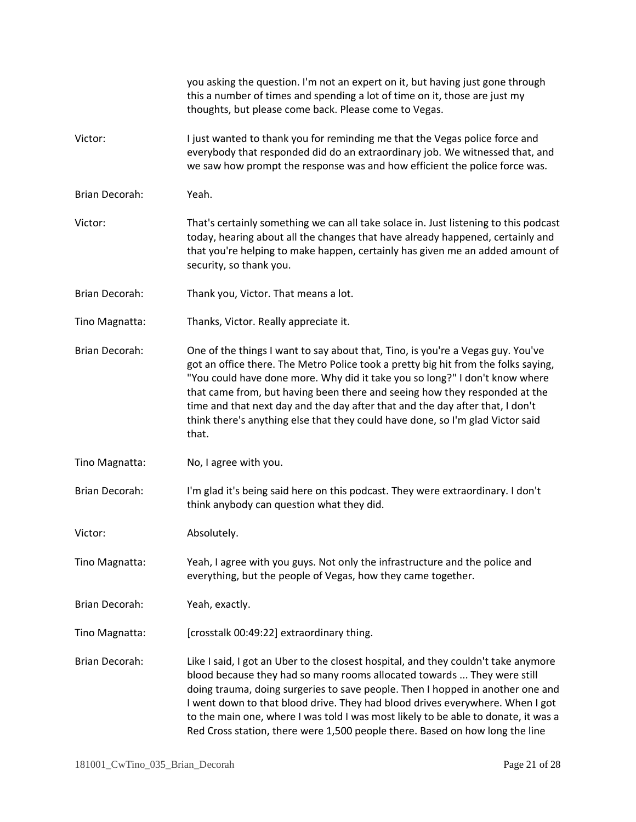|                       | you asking the question. I'm not an expert on it, but having just gone through<br>this a number of times and spending a lot of time on it, those are just my<br>thoughts, but please come back. Please come to Vegas.                                                                                                                                                                                                                                                                                          |
|-----------------------|----------------------------------------------------------------------------------------------------------------------------------------------------------------------------------------------------------------------------------------------------------------------------------------------------------------------------------------------------------------------------------------------------------------------------------------------------------------------------------------------------------------|
| Victor:               | I just wanted to thank you for reminding me that the Vegas police force and<br>everybody that responded did do an extraordinary job. We witnessed that, and<br>we saw how prompt the response was and how efficient the police force was.                                                                                                                                                                                                                                                                      |
| Brian Decorah:        | Yeah.                                                                                                                                                                                                                                                                                                                                                                                                                                                                                                          |
| Victor:               | That's certainly something we can all take solace in. Just listening to this podcast<br>today, hearing about all the changes that have already happened, certainly and<br>that you're helping to make happen, certainly has given me an added amount of<br>security, so thank you.                                                                                                                                                                                                                             |
| Brian Decorah:        | Thank you, Victor. That means a lot.                                                                                                                                                                                                                                                                                                                                                                                                                                                                           |
| Tino Magnatta:        | Thanks, Victor. Really appreciate it.                                                                                                                                                                                                                                                                                                                                                                                                                                                                          |
| <b>Brian Decorah:</b> | One of the things I want to say about that, Tino, is you're a Vegas guy. You've<br>got an office there. The Metro Police took a pretty big hit from the folks saying,<br>"You could have done more. Why did it take you so long?" I don't know where<br>that came from, but having been there and seeing how they responded at the<br>time and that next day and the day after that and the day after that, I don't<br>think there's anything else that they could have done, so I'm glad Victor said<br>that. |
| Tino Magnatta:        | No, I agree with you.                                                                                                                                                                                                                                                                                                                                                                                                                                                                                          |
| Brian Decorah:        | I'm glad it's being said here on this podcast. They were extraordinary. I don't<br>think anybody can question what they did.                                                                                                                                                                                                                                                                                                                                                                                   |
| Victor:               | Absolutely.                                                                                                                                                                                                                                                                                                                                                                                                                                                                                                    |
| Tino Magnatta:        | Yeah, I agree with you guys. Not only the infrastructure and the police and<br>everything, but the people of Vegas, how they came together.                                                                                                                                                                                                                                                                                                                                                                    |
| Brian Decorah:        | Yeah, exactly.                                                                                                                                                                                                                                                                                                                                                                                                                                                                                                 |
| Tino Magnatta:        | [crosstalk 00:49:22] extraordinary thing.                                                                                                                                                                                                                                                                                                                                                                                                                                                                      |
| Brian Decorah:        | Like I said, I got an Uber to the closest hospital, and they couldn't take anymore<br>blood because they had so many rooms allocated towards  They were still<br>doing trauma, doing surgeries to save people. Then I hopped in another one and<br>I went down to that blood drive. They had blood drives everywhere. When I got<br>to the main one, where I was told I was most likely to be able to donate, it was a<br>Red Cross station, there were 1,500 people there. Based on how long the line         |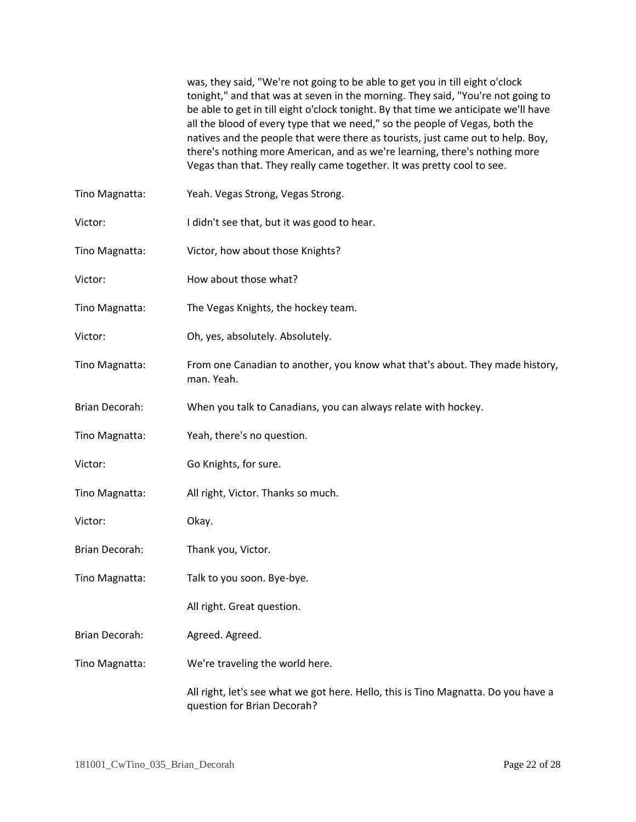was, they said, "We're not going to be able to get you in till eight o'clock tonight," and that was at seven in the morning. They said, "You're not going to be able to get in till eight o'clock tonight. By that time we anticipate we'll have all the blood of every type that we need," so the people of Vegas, both the natives and the people that were there as tourists, just came out to help. Boy, there's nothing more American, and as we're learning, there's nothing more Vegas than that. They really came together. It was pretty cool to see.

- Tino Magnatta: Yeah. Vegas Strong, Vegas Strong.
- Victor: I didn't see that, but it was good to hear.
- Tino Magnatta: Victor, how about those Knights?
- Victor: How about those what?
- Tino Magnatta: The Vegas Knights, the hockey team.
- Victor: Oh, yes, absolutely. Absolutely.
- Tino Magnatta: From one Canadian to another, you know what that's about. They made history, man. Yeah.
- Brian Decorah: When you talk to Canadians, you can always relate with hockey.
- Tino Magnatta: Yeah, there's no question.
- Victor: Go Knights, for sure.
- Tino Magnatta: All right, Victor. Thanks so much.
- Victor: Okay.
- Brian Decorah: Thank you, Victor.
- Tino Magnatta: Talk to you soon. Bye-bye.
	- All right. Great question.
- Brian Decorah: Agreed. Agreed.
- Tino Magnatta: We're traveling the world here.

All right, let's see what we got here. Hello, this is Tino Magnatta. Do you have a question for Brian Decorah?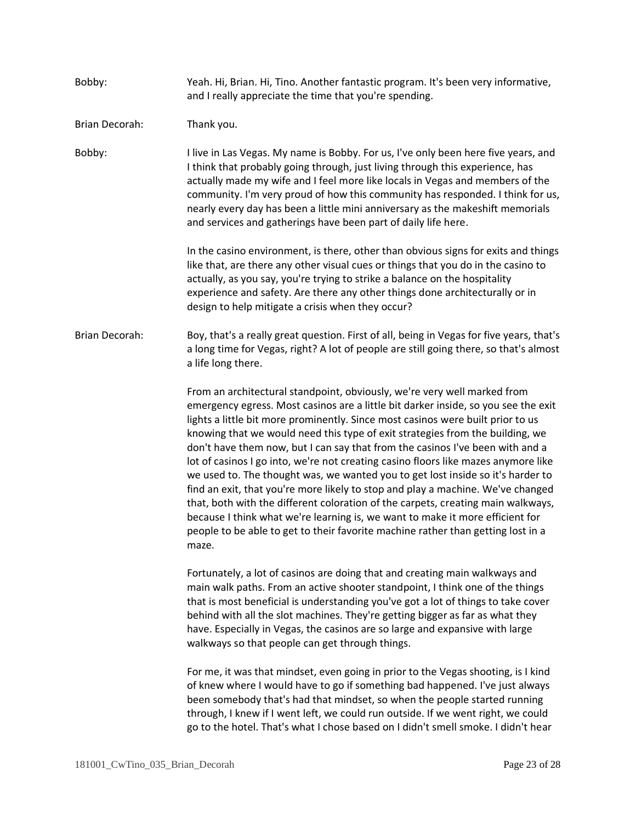| Bobby:         | Yeah. Hi, Brian. Hi, Tino. Another fantastic program. It's been very informative,<br>and I really appreciate the time that you're spending.                                                                                                                                                                                                                                                                                                                                                                                                                                                                                                                                                                                                                                                                                                                                                                                                       |
|----------------|---------------------------------------------------------------------------------------------------------------------------------------------------------------------------------------------------------------------------------------------------------------------------------------------------------------------------------------------------------------------------------------------------------------------------------------------------------------------------------------------------------------------------------------------------------------------------------------------------------------------------------------------------------------------------------------------------------------------------------------------------------------------------------------------------------------------------------------------------------------------------------------------------------------------------------------------------|
| Brian Decorah: | Thank you.                                                                                                                                                                                                                                                                                                                                                                                                                                                                                                                                                                                                                                                                                                                                                                                                                                                                                                                                        |
| Bobby:         | I live in Las Vegas. My name is Bobby. For us, I've only been here five years, and<br>I think that probably going through, just living through this experience, has<br>actually made my wife and I feel more like locals in Vegas and members of the<br>community. I'm very proud of how this community has responded. I think for us,<br>nearly every day has been a little mini anniversary as the makeshift memorials<br>and services and gatherings have been part of daily life here.                                                                                                                                                                                                                                                                                                                                                                                                                                                        |
|                | In the casino environment, is there, other than obvious signs for exits and things<br>like that, are there any other visual cues or things that you do in the casino to<br>actually, as you say, you're trying to strike a balance on the hospitality<br>experience and safety. Are there any other things done architecturally or in<br>design to help mitigate a crisis when they occur?                                                                                                                                                                                                                                                                                                                                                                                                                                                                                                                                                        |
| Brian Decorah: | Boy, that's a really great question. First of all, being in Vegas for five years, that's<br>a long time for Vegas, right? A lot of people are still going there, so that's almost<br>a life long there.                                                                                                                                                                                                                                                                                                                                                                                                                                                                                                                                                                                                                                                                                                                                           |
|                | From an architectural standpoint, obviously, we're very well marked from<br>emergency egress. Most casinos are a little bit darker inside, so you see the exit<br>lights a little bit more prominently. Since most casinos were built prior to us<br>knowing that we would need this type of exit strategies from the building, we<br>don't have them now, but I can say that from the casinos I've been with and a<br>lot of casinos I go into, we're not creating casino floors like mazes anymore like<br>we used to. The thought was, we wanted you to get lost inside so it's harder to<br>find an exit, that you're more likely to stop and play a machine. We've changed<br>that, both with the different coloration of the carpets, creating main walkways,<br>because I think what we're learning is, we want to make it more efficient for<br>people to be able to get to their favorite machine rather than getting lost in a<br>maze. |
|                | Fortunately, a lot of casinos are doing that and creating main walkways and<br>main walk paths. From an active shooter standpoint, I think one of the things<br>that is most beneficial is understanding you've got a lot of things to take cover<br>behind with all the slot machines. They're getting bigger as far as what they<br>have. Especially in Vegas, the casinos are so large and expansive with large<br>walkways so that people can get through things.                                                                                                                                                                                                                                                                                                                                                                                                                                                                             |
|                | For me, it was that mindset, even going in prior to the Vegas shooting, is I kind<br>of knew where I would have to go if something bad happened. I've just always<br>been somebody that's had that mindset, so when the people started running<br>through, I knew if I went left, we could run outside. If we went right, we could<br>go to the hotel. That's what I chose based on I didn't smell smoke. I didn't hear                                                                                                                                                                                                                                                                                                                                                                                                                                                                                                                           |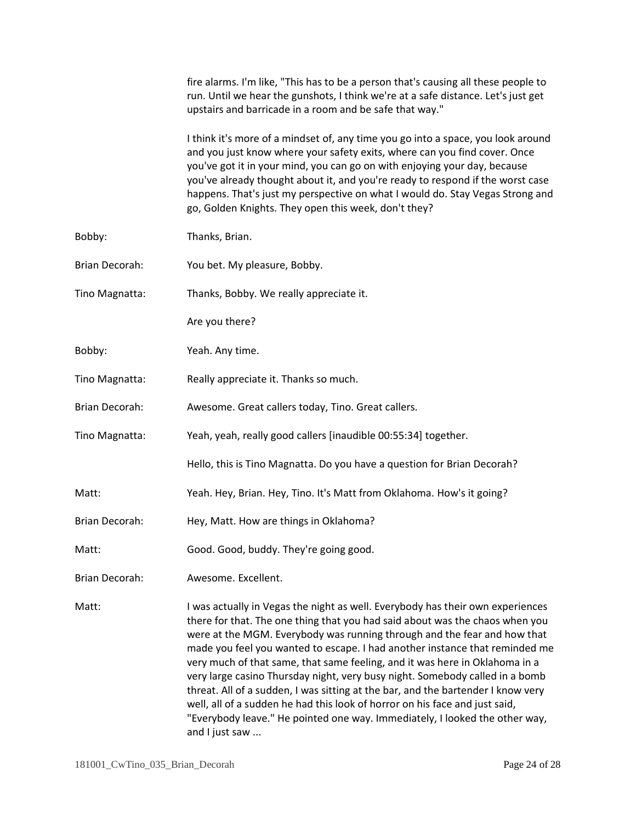|                       | fire alarms. I'm like, "This has to be a person that's causing all these people to<br>run. Until we hear the gunshots, I think we're at a safe distance. Let's just get<br>upstairs and barricade in a room and be safe that way."                                                                                                                                                                                                                                                                                                                                                                                                                                                                                                                           |
|-----------------------|--------------------------------------------------------------------------------------------------------------------------------------------------------------------------------------------------------------------------------------------------------------------------------------------------------------------------------------------------------------------------------------------------------------------------------------------------------------------------------------------------------------------------------------------------------------------------------------------------------------------------------------------------------------------------------------------------------------------------------------------------------------|
|                       | I think it's more of a mindset of, any time you go into a space, you look around<br>and you just know where your safety exits, where can you find cover. Once<br>you've got it in your mind, you can go on with enjoying your day, because<br>you've already thought about it, and you're ready to respond if the worst case<br>happens. That's just my perspective on what I would do. Stay Vegas Strong and<br>go, Golden Knights. They open this week, don't they?                                                                                                                                                                                                                                                                                        |
| Bobby:                | Thanks, Brian.                                                                                                                                                                                                                                                                                                                                                                                                                                                                                                                                                                                                                                                                                                                                               |
| Brian Decorah:        | You bet. My pleasure, Bobby.                                                                                                                                                                                                                                                                                                                                                                                                                                                                                                                                                                                                                                                                                                                                 |
| Tino Magnatta:        | Thanks, Bobby. We really appreciate it.                                                                                                                                                                                                                                                                                                                                                                                                                                                                                                                                                                                                                                                                                                                      |
|                       | Are you there?                                                                                                                                                                                                                                                                                                                                                                                                                                                                                                                                                                                                                                                                                                                                               |
| Bobby:                | Yeah. Any time.                                                                                                                                                                                                                                                                                                                                                                                                                                                                                                                                                                                                                                                                                                                                              |
| Tino Magnatta:        | Really appreciate it. Thanks so much.                                                                                                                                                                                                                                                                                                                                                                                                                                                                                                                                                                                                                                                                                                                        |
| Brian Decorah:        | Awesome. Great callers today, Tino. Great callers.                                                                                                                                                                                                                                                                                                                                                                                                                                                                                                                                                                                                                                                                                                           |
| Tino Magnatta:        | Yeah, yeah, really good callers [inaudible 00:55:34] together.                                                                                                                                                                                                                                                                                                                                                                                                                                                                                                                                                                                                                                                                                               |
|                       | Hello, this is Tino Magnatta. Do you have a question for Brian Decorah?                                                                                                                                                                                                                                                                                                                                                                                                                                                                                                                                                                                                                                                                                      |
| Matt:                 | Yeah. Hey, Brian. Hey, Tino. It's Matt from Oklahoma. How's it going?                                                                                                                                                                                                                                                                                                                                                                                                                                                                                                                                                                                                                                                                                        |
| Brian Decorah:        | Hey, Matt. How are things in Oklahoma?                                                                                                                                                                                                                                                                                                                                                                                                                                                                                                                                                                                                                                                                                                                       |
| Matt:                 | Good. Good, buddy. They're going good.                                                                                                                                                                                                                                                                                                                                                                                                                                                                                                                                                                                                                                                                                                                       |
| <b>Brian Decorah:</b> | Awesome. Excellent.                                                                                                                                                                                                                                                                                                                                                                                                                                                                                                                                                                                                                                                                                                                                          |
| Matt:                 | I was actually in Vegas the night as well. Everybody has their own experiences<br>there for that. The one thing that you had said about was the chaos when you<br>were at the MGM. Everybody was running through and the fear and how that<br>made you feel you wanted to escape. I had another instance that reminded me<br>very much of that same, that same feeling, and it was here in Oklahoma in a<br>very large casino Thursday night, very busy night. Somebody called in a bomb<br>threat. All of a sudden, I was sitting at the bar, and the bartender I know very<br>well, all of a sudden he had this look of horror on his face and just said,<br>"Everybody leave." He pointed one way. Immediately, I looked the other way,<br>and I just saw |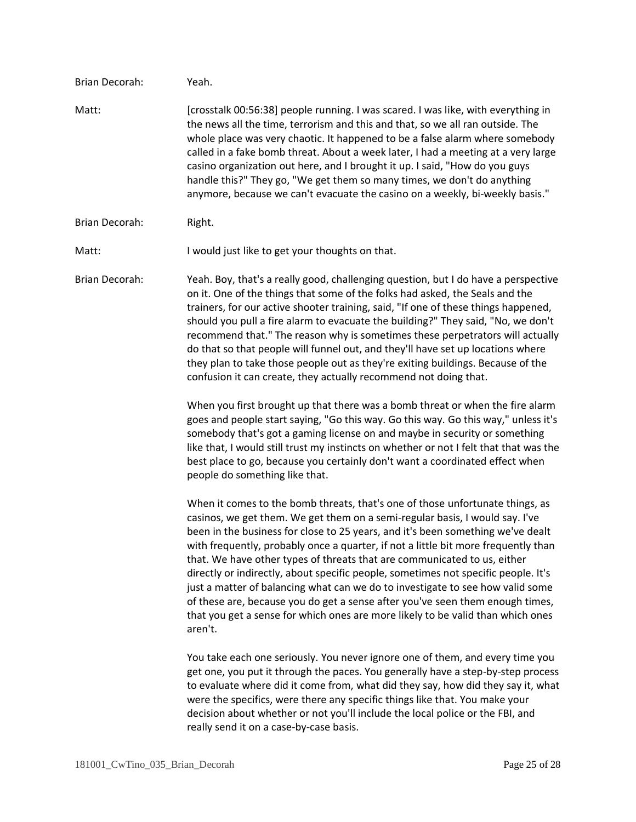| Brian Decorah: | Yeah.                                                                                                                                                                                                                                                                                                                                                                                                                                                                                                                                                                                                                                                                                                                                                                                                                                                                                                                                                                                                                                                                                                                                    |
|----------------|------------------------------------------------------------------------------------------------------------------------------------------------------------------------------------------------------------------------------------------------------------------------------------------------------------------------------------------------------------------------------------------------------------------------------------------------------------------------------------------------------------------------------------------------------------------------------------------------------------------------------------------------------------------------------------------------------------------------------------------------------------------------------------------------------------------------------------------------------------------------------------------------------------------------------------------------------------------------------------------------------------------------------------------------------------------------------------------------------------------------------------------|
| Matt:          | [crosstalk 00:56:38] people running. I was scared. I was like, with everything in<br>the news all the time, terrorism and this and that, so we all ran outside. The<br>whole place was very chaotic. It happened to be a false alarm where somebody<br>called in a fake bomb threat. About a week later, I had a meeting at a very large<br>casino organization out here, and I brought it up. I said, "How do you guys<br>handle this?" They go, "We get them so many times, we don't do anything<br>anymore, because we can't evacuate the casino on a weekly, bi-weekly basis."                                                                                                                                                                                                                                                                                                                                                                                                                                                                                                                                                       |
| Brian Decorah: | Right.                                                                                                                                                                                                                                                                                                                                                                                                                                                                                                                                                                                                                                                                                                                                                                                                                                                                                                                                                                                                                                                                                                                                   |
| Matt:          | I would just like to get your thoughts on that.                                                                                                                                                                                                                                                                                                                                                                                                                                                                                                                                                                                                                                                                                                                                                                                                                                                                                                                                                                                                                                                                                          |
| Brian Decorah: | Yeah. Boy, that's a really good, challenging question, but I do have a perspective<br>on it. One of the things that some of the folks had asked, the Seals and the<br>trainers, for our active shooter training, said, "If one of these things happened,<br>should you pull a fire alarm to evacuate the building?" They said, "No, we don't<br>recommend that." The reason why is sometimes these perpetrators will actually<br>do that so that people will funnel out, and they'll have set up locations where<br>they plan to take those people out as they're exiting buildings. Because of the<br>confusion it can create, they actually recommend not doing that.<br>When you first brought up that there was a bomb threat or when the fire alarm<br>goes and people start saying, "Go this way. Go this way. Go this way," unless it's<br>somebody that's got a gaming license on and maybe in security or something<br>like that, I would still trust my instincts on whether or not I felt that that was the<br>best place to go, because you certainly don't want a coordinated effect when<br>people do something like that. |
|                | When it comes to the bomb threats, that's one of those unfortunate things, as<br>casinos, we get them. We get them on a semi-regular basis, I would say. I've<br>been in the business for close to 25 years, and it's been something we've dealt<br>with frequently, probably once a quarter, if not a little bit more frequently than<br>that. We have other types of threats that are communicated to us, either<br>directly or indirectly, about specific people, sometimes not specific people. It's<br>just a matter of balancing what can we do to investigate to see how valid some<br>of these are, because you do get a sense after you've seen them enough times,<br>that you get a sense for which ones are more likely to be valid than which ones<br>aren't.                                                                                                                                                                                                                                                                                                                                                                |
|                | You take each one seriously. You never ignore one of them, and every time you<br>get one, you put it through the paces. You generally have a step-by-step process<br>to evaluate where did it come from, what did they say, how did they say it, what<br>were the specifics, were there any specific things like that. You make your<br>decision about whether or not you'll include the local police or the FBI, and<br>really send it on a case-by-case basis.                                                                                                                                                                                                                                                                                                                                                                                                                                                                                                                                                                                                                                                                         |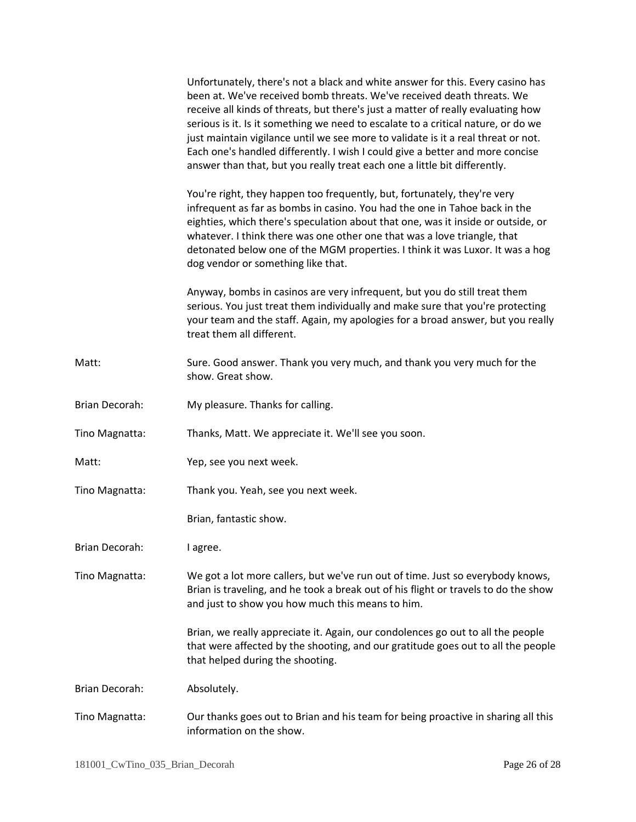|                | Unfortunately, there's not a black and white answer for this. Every casino has<br>been at. We've received bomb threats. We've received death threats. We<br>receive all kinds of threats, but there's just a matter of really evaluating how<br>serious is it. Is it something we need to escalate to a critical nature, or do we<br>just maintain vigilance until we see more to validate is it a real threat or not.<br>Each one's handled differently. I wish I could give a better and more concise<br>answer than that, but you really treat each one a little bit differently. |
|----------------|--------------------------------------------------------------------------------------------------------------------------------------------------------------------------------------------------------------------------------------------------------------------------------------------------------------------------------------------------------------------------------------------------------------------------------------------------------------------------------------------------------------------------------------------------------------------------------------|
|                | You're right, they happen too frequently, but, fortunately, they're very<br>infrequent as far as bombs in casino. You had the one in Tahoe back in the<br>eighties, which there's speculation about that one, was it inside or outside, or<br>whatever. I think there was one other one that was a love triangle, that<br>detonated below one of the MGM properties. I think it was Luxor. It was a hog<br>dog vendor or something like that.                                                                                                                                        |
|                | Anyway, bombs in casinos are very infrequent, but you do still treat them<br>serious. You just treat them individually and make sure that you're protecting<br>your team and the staff. Again, my apologies for a broad answer, but you really<br>treat them all different.                                                                                                                                                                                                                                                                                                          |
| Matt:          | Sure. Good answer. Thank you very much, and thank you very much for the<br>show. Great show.                                                                                                                                                                                                                                                                                                                                                                                                                                                                                         |
| Brian Decorah: | My pleasure. Thanks for calling.                                                                                                                                                                                                                                                                                                                                                                                                                                                                                                                                                     |
| Tino Magnatta: | Thanks, Matt. We appreciate it. We'll see you soon.                                                                                                                                                                                                                                                                                                                                                                                                                                                                                                                                  |
| Matt:          | Yep, see you next week.                                                                                                                                                                                                                                                                                                                                                                                                                                                                                                                                                              |
| Tino Magnatta: | Thank you. Yeah, see you next week.                                                                                                                                                                                                                                                                                                                                                                                                                                                                                                                                                  |
|                | Brian, fantastic show.                                                                                                                                                                                                                                                                                                                                                                                                                                                                                                                                                               |
| Brian Decorah: | I agree.                                                                                                                                                                                                                                                                                                                                                                                                                                                                                                                                                                             |
| Tino Magnatta: | We got a lot more callers, but we've run out of time. Just so everybody knows,<br>Brian is traveling, and he took a break out of his flight or travels to do the show<br>and just to show you how much this means to him.                                                                                                                                                                                                                                                                                                                                                            |
|                | Brian, we really appreciate it. Again, our condolences go out to all the people<br>that were affected by the shooting, and our gratitude goes out to all the people<br>that helped during the shooting.                                                                                                                                                                                                                                                                                                                                                                              |
| Brian Decorah: | Absolutely.                                                                                                                                                                                                                                                                                                                                                                                                                                                                                                                                                                          |
| Tino Magnatta: | Our thanks goes out to Brian and his team for being proactive in sharing all this<br>information on the show.                                                                                                                                                                                                                                                                                                                                                                                                                                                                        |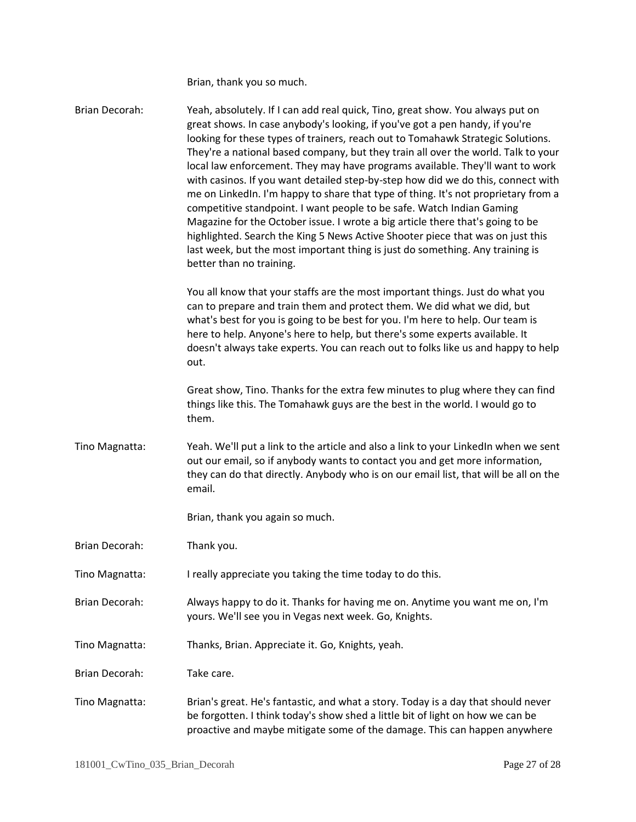Brian, thank you so much.

Brian Decorah: Yeah, absolutely. If I can add real quick, Tino, great show. You always put on great shows. In case anybody's looking, if you've got a pen handy, if you're looking for these types of trainers, reach out to Tomahawk Strategic Solutions. They're a national based company, but they train all over the world. Talk to your local law enforcement. They may have programs available. They'll want to work with casinos. If you want detailed step-by-step how did we do this, connect with me on LinkedIn. I'm happy to share that type of thing. It's not proprietary from a competitive standpoint. I want people to be safe. Watch Indian Gaming Magazine for the October issue. I wrote a big article there that's going to be highlighted. Search the King 5 News Active Shooter piece that was on just this last week, but the most important thing is just do something. Any training is better than no training. You all know that your staffs are the most important things. Just do what you can to prepare and train them and protect them. We did what we did, but what's best for you is going to be best for you. I'm here to help. Our team is here to help. Anyone's here to help, but there's some experts available. It doesn't always take experts. You can reach out to folks like us and happy to help out. Great show, Tino. Thanks for the extra few minutes to plug where they can find things like this. The Tomahawk guys are the best in the world. I would go to them. Tino Magnatta: Yeah. We'll put a link to the article and also a link to your LinkedIn when we sent out our email, so if anybody wants to contact you and get more information, they can do that directly. Anybody who is on our email list, that will be all on the email. Brian, thank you again so much. Brian Decorah: Thank you. Tino Magnatta: I really appreciate you taking the time today to do this. Brian Decorah: Always happy to do it. Thanks for having me on. Anytime you want me on, I'm yours. We'll see you in Vegas next week. Go, Knights. Tino Magnatta: Thanks, Brian. Appreciate it. Go, Knights, yeah. Brian Decorah: Take care. Tino Magnatta: Brian's great. He's fantastic, and what a story. Today is a day that should never